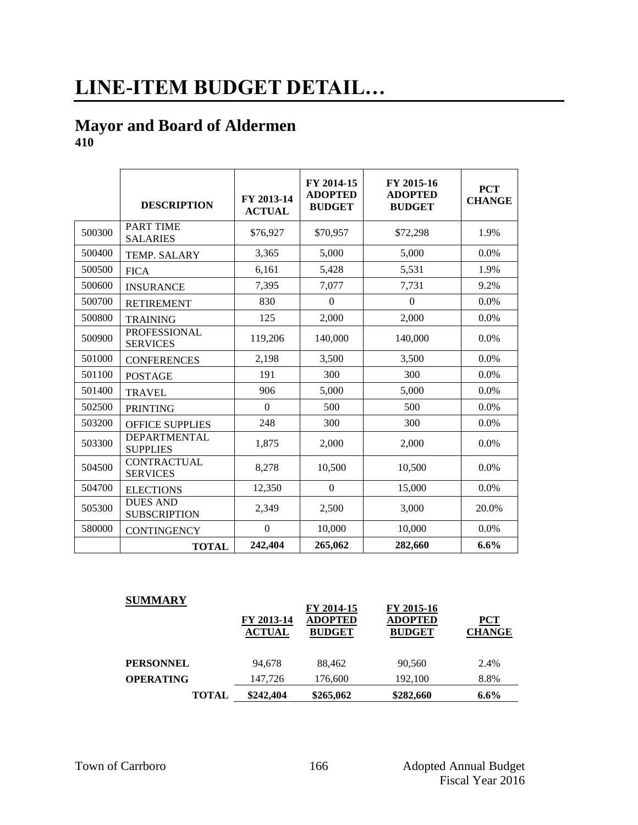# **LINE-ITEM BUDGET DETAIL…**

#### **Mayor and Board of Aldermen 410**

|        | <b>DESCRIPTION</b>                     | FY 2013-14<br><b>ACTUAL</b> | FY 2014-15<br><b>ADOPTED</b><br><b>BUDGET</b> | FY 2015-16<br><b>ADOPTED</b><br><b>BUDGET</b> | <b>PCT</b><br><b>CHANGE</b> |
|--------|----------------------------------------|-----------------------------|-----------------------------------------------|-----------------------------------------------|-----------------------------|
| 500300 | <b>PART TIME</b><br><b>SALARIES</b>    | \$76,927                    | \$70,957                                      | \$72,298                                      | 1.9%                        |
| 500400 | TEMP. SALARY                           | 3,365                       | 5,000                                         | 5,000                                         | 0.0%                        |
| 500500 | <b>FICA</b>                            | 6,161                       | 5,428                                         | 5,531                                         | 1.9%                        |
| 500600 | <b>INSURANCE</b>                       | 7,395                       | 7,077                                         | 7,731                                         | 9.2%                        |
| 500700 | <b>RETIREMENT</b>                      | 830                         | $\overline{0}$                                | $\mathbf{0}$                                  | 0.0%                        |
| 500800 | <b>TRAINING</b>                        | 125                         | 2,000                                         | 2,000                                         | 0.0%                        |
| 500900 | <b>PROFESSIONAL</b><br><b>SERVICES</b> | 119,206                     | 140,000                                       | 140,000                                       | 0.0%                        |
| 501000 | <b>CONFERENCES</b>                     | 2,198                       | 3,500                                         | 3,500                                         | 0.0%                        |
| 501100 | <b>POSTAGE</b>                         | 191                         | 300                                           | 300                                           | $0.0\%$                     |
| 501400 | <b>TRAVEL</b>                          | 906                         | 5,000                                         | 5,000                                         | 0.0%                        |
| 502500 | <b>PRINTING</b>                        | $\theta$                    | 500                                           | 500                                           | $0.0\%$                     |
| 503200 | <b>OFFICE SUPPLIES</b>                 | 248                         | 300                                           | 300                                           | 0.0%                        |
| 503300 | <b>DEPARTMENTAL</b><br><b>SUPPLIES</b> | 1,875                       | 2,000                                         | 2,000                                         | 0.0%                        |
| 504500 | <b>CONTRACTUAL</b><br><b>SERVICES</b>  | 8,278                       | 10,500                                        | 10,500                                        | 0.0%                        |
| 504700 | <b>ELECTIONS</b>                       | 12,350                      | $\overline{0}$                                | 15,000                                        | 0.0%                        |
| 505300 | <b>DUES AND</b><br><b>SUBSCRIPTION</b> | 2,349                       | 2,500                                         | 3,000                                         | 20.0%                       |
| 580000 | <b>CONTINGENCY</b>                     | $\boldsymbol{0}$            | 10,000                                        | 10,000                                        | $0.0\%$                     |
|        | <b>TOTAL</b>                           | 242,404                     | 265,062                                       | 282,660                                       | $6.6\%$                     |

| <b>SUMMARY</b>   | FY 2013-14<br><b>ACTUAL</b> | FY 2014-15<br><b>ADOPTED</b><br><b>BUDGET</b> | FY 2015-16<br><b>ADOPTED</b><br><b>BUDGET</b> | <b>PCT</b><br><b>CHANGE</b> |
|------------------|-----------------------------|-----------------------------------------------|-----------------------------------------------|-----------------------------|
| <b>PERSONNEL</b> | 94.678                      | 88.462                                        | 90.560                                        | 2.4%                        |
| <b>OPERATING</b> | 147,726                     | 176,600                                       | 192,100                                       | 8.8%                        |
| <b>TOTAL</b>     | \$242,404                   | \$265,062                                     | \$282,660                                     | $6.6\%$                     |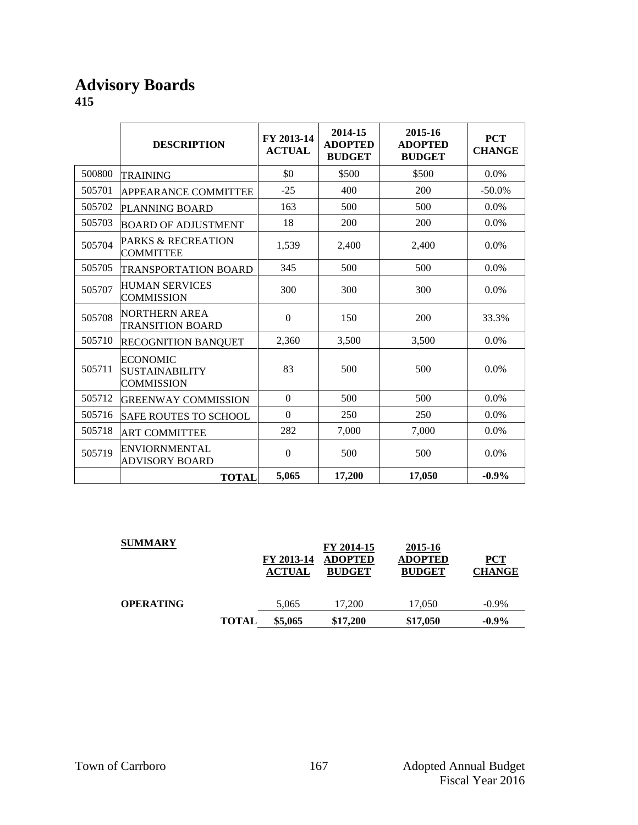#### **Advisory Boards 415**

|        | <b>DESCRIPTION</b>                                            | FY 2013-14<br><b>ACTUAL</b> | 2014-15<br><b>ADOPTED</b><br><b>BUDGET</b> | 2015-16<br><b>ADOPTED</b><br><b>BUDGET</b> | <b>PCT</b><br><b>CHANGE</b> |
|--------|---------------------------------------------------------------|-----------------------------|--------------------------------------------|--------------------------------------------|-----------------------------|
| 500800 | <b>TRAINING</b>                                               | \$0                         | \$500                                      | \$500                                      | 0.0%                        |
| 505701 | APPEARANCE COMMITTEE                                          | $-25$                       | 400                                        | 200                                        | $-50.0\%$                   |
| 505702 | PLANNING BOARD                                                | 163                         | 500                                        | 500                                        | 0.0%                        |
| 505703 | <b>BOARD OF ADJUSTMENT</b>                                    | 18                          | 200                                        | 200                                        | $0.0\%$                     |
| 505704 | <b>PARKS &amp; RECREATION</b><br><b>COMMITTEE</b>             | 1,539                       | 2,400                                      | 2,400                                      | 0.0%                        |
| 505705 | <b>TRANSPORTATION BOARD</b>                                   | 345                         | 500                                        | 500                                        | $0.0\%$                     |
| 505707 | <b>HUMAN SERVICES</b><br><b>COMMISSION</b>                    | 300                         | 300                                        | 300                                        | $0.0\%$                     |
| 505708 | <b>NORTHERN AREA</b><br><b>TRANSITION BOARD</b>               | $\Omega$                    | 150                                        | 200                                        | 33.3%                       |
| 505710 | <b>RECOGNITION BANQUET</b>                                    | 2,360                       | 3,500                                      | 3,500                                      | $0.0\%$                     |
| 505711 | <b>ECONOMIC</b><br><b>SUSTAINABILITY</b><br><b>COMMISSION</b> | 83                          | 500                                        | 500                                        | 0.0%                        |
| 505712 | <b>GREENWAY COMMISSION</b>                                    | $\theta$                    | 500                                        | 500                                        | $0.0\%$                     |
| 505716 | <b>SAFE ROUTES TO SCHOOL</b>                                  | $\Omega$                    | 250                                        | 250                                        | $0.0\%$                     |
| 505718 | <b>ART COMMITTEE</b>                                          | 282                         | 7,000                                      | 7,000                                      | 0.0%                        |
| 505719 | <b>ENVIORNMENTAL</b><br><b>ADVISORY BOARD</b>                 | $\Omega$                    | 500                                        | 500                                        | 0.0%                        |
|        | <b>TOTAL</b>                                                  | 5,065                       | 17,200                                     | 17,050                                     | $-0.9\%$                    |

| <b>SUMMARY</b>   |              | FY 2013-14<br><b>ACTUAL</b> | FY 2014-15<br><b>ADOPTED</b><br><b>BUDGET</b> | 2015-16<br><b>ADOPTED</b><br><b>BUDGET</b> | <u>PCT</u><br><b>CHANGE</b> |
|------------------|--------------|-----------------------------|-----------------------------------------------|--------------------------------------------|-----------------------------|
| <b>OPERATING</b> |              | 5,065                       | 17.200                                        | 17,050                                     | $-0.9\%$                    |
|                  | <b>TOTAL</b> | \$5,065                     | \$17,200                                      | \$17,050                                   | $-0.9\%$                    |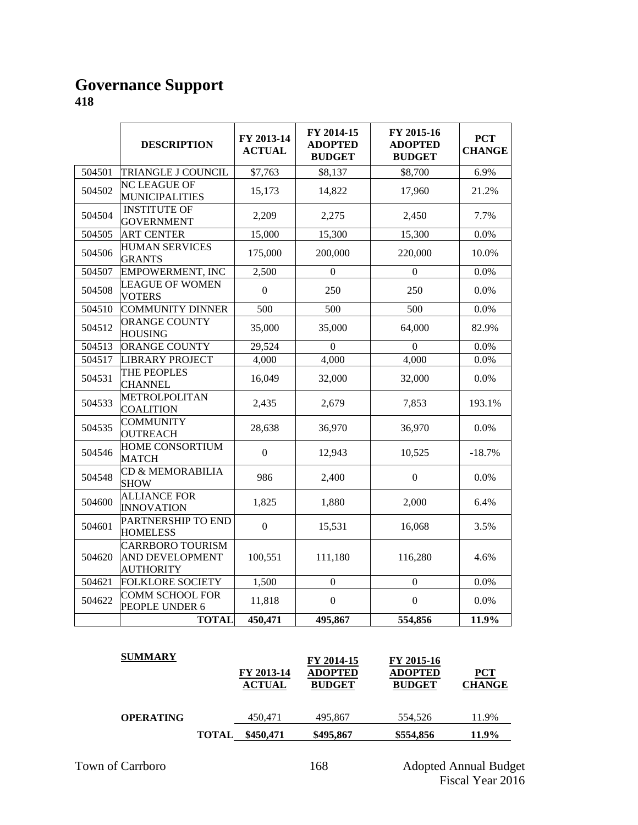#### **Governance Support 418**

|        | <b>DESCRIPTION</b>                                                    | FY 2013-14<br><b>ACTUAL</b> | FY 2014-15<br><b>ADOPTED</b><br><b>BUDGET</b> | FY 2015-16<br><b>ADOPTED</b><br><b>BUDGET</b> | <b>PCT</b><br><b>CHANGE</b> |
|--------|-----------------------------------------------------------------------|-----------------------------|-----------------------------------------------|-----------------------------------------------|-----------------------------|
| 504501 | TRIANGLE J COUNCIL                                                    | \$7,763                     | \$8,137                                       | \$8,700                                       | 6.9%                        |
| 504502 | <b>NC LEAGUE OF</b><br><b>MUNICIPALITIES</b>                          | 15,173                      | 14,822                                        | 17,960                                        | 21.2%                       |
| 504504 | <b>INSTITUTE OF</b><br><b>GOVERNMENT</b>                              | 2,209                       | 2,275                                         | 2,450                                         | 7.7%                        |
| 504505 | <b>ART CENTER</b>                                                     | 15,000                      | 15,300                                        | 15,300                                        | 0.0%                        |
| 504506 | <b>HUMAN SERVICES</b><br><b>GRANTS</b>                                | 175,000                     | 200,000                                       | 220,000                                       | 10.0%                       |
| 504507 | <b>EMPOWERMENT, INC</b>                                               | 2,500                       | $\boldsymbol{0}$                              | $\mathbf{0}$                                  | 0.0%                        |
| 504508 | <b>LEAGUE OF WOMEN</b><br><b>VOTERS</b>                               | $\mathbf{0}$                | 250                                           | 250                                           | 0.0%                        |
| 504510 | <b>COMMUNITY DINNER</b>                                               | 500                         | 500                                           | 500                                           | 0.0%                        |
| 504512 | <b>ORANGE COUNTY</b><br><b>HOUSING</b>                                | 35,000                      | 35,000                                        | 64,000                                        | 82.9%                       |
| 504513 | ORANGE COUNTY                                                         | 29,524                      | $\Omega$                                      | $\Omega$                                      | 0.0%                        |
| 504517 | <b>LIBRARY PROJECT</b>                                                | 4,000                       | 4,000                                         | 4,000                                         | 0.0%                        |
| 504531 | THE PEOPLES<br><b>CHANNEL</b>                                         | 16,049                      | 32,000                                        | 32,000                                        | 0.0%                        |
| 504533 | METROLPOLITAN<br><b>COALITION</b>                                     | 2,435                       | 2,679                                         | 7,853                                         | 193.1%                      |
| 504535 | <b>COMMUNITY</b><br><b>OUTREACH</b>                                   | 28,638                      | 36,970                                        | 36,970                                        | 0.0%                        |
| 504546 | HOME CONSORTIUM<br><b>MATCH</b>                                       | $\Omega$                    | 12,943                                        | 10,525                                        | $-18.7%$                    |
| 504548 | CD & MEMORABILIA<br><b>SHOW</b>                                       | 986                         | 2,400                                         | $\boldsymbol{0}$                              | 0.0%                        |
| 504600 | <b>ALLIANCE FOR</b><br><b>INNOVATION</b>                              | 1,825                       | 1,880                                         | 2,000                                         | 6.4%                        |
| 504601 | PARTNERSHIP TO END<br><b>HOMELESS</b>                                 | $\boldsymbol{0}$            | 15,531                                        | 16,068                                        | 3.5%                        |
| 504620 | <b>CARRBORO TOURISM</b><br><b>AND DEVELOPMENT</b><br><b>AUTHORITY</b> | 100,551                     | 111,180                                       | 116,280                                       | 4.6%                        |
| 504621 | <b>FOLKLORE SOCIETY</b>                                               | 1,500                       | $\boldsymbol{0}$                              | $\boldsymbol{0}$                              | 0.0%                        |
| 504622 | <b>COMM SCHOOL FOR</b><br>PEOPLE UNDER 6                              | 11,818                      | $\boldsymbol{0}$                              | $\boldsymbol{0}$                              | 0.0%                        |
|        | <b>TOTAL</b>                                                          | 450,471                     | 495,867                                       | 554,856                                       | 11.9%                       |

| <b>SUMMARY</b>   |              | FY 2013-14<br><b>ACTUAL</b> | FY 2014-15<br><b>ADOPTED</b><br><b>BUDGET</b> | FY 2015-16<br><b>ADOPTED</b><br><b>BUDGET</b> | PCT<br><b>CHANGE</b> |
|------------------|--------------|-----------------------------|-----------------------------------------------|-----------------------------------------------|----------------------|
| <b>OPERATING</b> |              | 450,471                     | 495,867                                       | 554,526                                       | 11.9%                |
|                  | <b>TOTAL</b> | \$450,471                   | \$495,867                                     | \$554,856                                     | 11.9%                |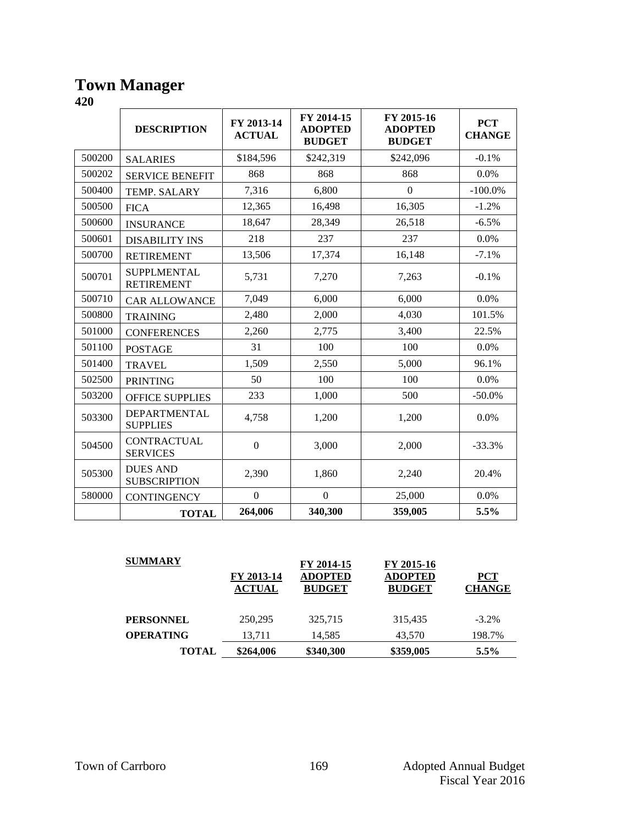#### **Town Manager**

|        | <b>DESCRIPTION</b>                      | FY 2013-14<br><b>ACTUAL</b> | FY 2014-15<br><b>ADOPTED</b><br><b>BUDGET</b> | FY 2015-16<br><b>ADOPTED</b><br><b>BUDGET</b> | <b>PCT</b><br><b>CHANGE</b> |
|--------|-----------------------------------------|-----------------------------|-----------------------------------------------|-----------------------------------------------|-----------------------------|
| 500200 | <b>SALARIES</b>                         | \$184,596                   | \$242,319                                     | \$242,096                                     | $-0.1%$                     |
| 500202 | <b>SERVICE BENEFIT</b>                  | 868                         | 868                                           | 868                                           | 0.0%                        |
| 500400 | TEMP. SALARY                            | 7,316                       | 6,800                                         | $\Omega$                                      | $-100.0\%$                  |
| 500500 | <b>FICA</b>                             | 12,365                      | 16,498                                        | 16,305                                        | $-1.2%$                     |
| 500600 | <b>INSURANCE</b>                        | 18,647                      | 28,349                                        | 26,518                                        | $-6.5%$                     |
| 500601 | <b>DISABILITY INS</b>                   | 218                         | 237                                           | 237                                           | 0.0%                        |
| 500700 | <b>RETIREMENT</b>                       | 13,506                      | 17,374                                        | 16,148                                        | $-7.1%$                     |
| 500701 | <b>SUPPLMENTAL</b><br><b>RETIREMENT</b> | 5,731                       | 7,270                                         | 7,263                                         | $-0.1%$                     |
| 500710 | <b>CAR ALLOWANCE</b>                    | 7,049                       | 6,000                                         | 6,000                                         | 0.0%                        |
| 500800 | <b>TRAINING</b>                         | 2,480                       | 2,000                                         | 4,030                                         | 101.5%                      |
| 501000 | <b>CONFERENCES</b>                      | 2,260                       | 2,775                                         | 3,400                                         | 22.5%                       |
| 501100 | <b>POSTAGE</b>                          | 31                          | 100                                           | 100                                           | 0.0%                        |
| 501400 | <b>TRAVEL</b>                           | 1,509                       | 2,550                                         | 5,000                                         | 96.1%                       |
| 502500 | <b>PRINTING</b>                         | 50                          | 100                                           | 100                                           | 0.0%                        |
| 503200 | <b>OFFICE SUPPLIES</b>                  | 233                         | 1,000                                         | 500                                           | $-50.0%$                    |
| 503300 | <b>DEPARTMENTAL</b><br><b>SUPPLIES</b>  | 4,758                       | 1,200                                         | 1,200                                         | 0.0%                        |
| 504500 | <b>CONTRACTUAL</b><br><b>SERVICES</b>   | $\overline{0}$              | 3,000                                         | 2,000                                         | $-33.3%$                    |
| 505300 | <b>DUES AND</b><br><b>SUBSCRIPTION</b>  | 2,390                       | 1,860                                         | 2,240                                         | 20.4%                       |
| 580000 | <b>CONTINGENCY</b>                      | $\boldsymbol{0}$            | $\boldsymbol{0}$                              | 25,000                                        | 0.0%                        |
|        | <b>TOTAL</b>                            | 264,006                     | 340,300                                       | 359,005                                       | 5.5%                        |

| <b>SUMMARY</b>   | FY 2013-14<br><b>ACTUAL</b> | FY 2014-15<br><b>ADOPTED</b><br><b>BUDGET</b> | FY 2015-16<br><b>ADOPTED</b><br><b>BUDGET</b> | ${PCT}$<br><b>CHANGE</b> |
|------------------|-----------------------------|-----------------------------------------------|-----------------------------------------------|--------------------------|
| <b>PERSONNEL</b> | 250,295                     | 325,715                                       | 315,435                                       | $-3.2\%$                 |
| <b>OPERATING</b> | 13.711                      | 14.585                                        | 43.570                                        | 198.7%                   |
| <b>TOTAL</b>     | \$264,006                   | \$340,300                                     | \$359,005                                     | $5.5\%$                  |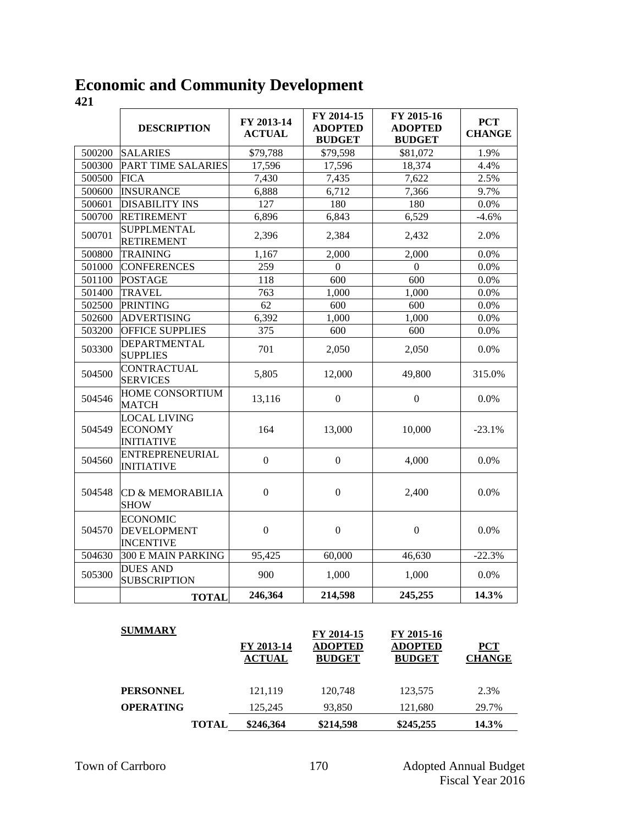#### **Economic and Community Development**

|        | <b>DESCRIPTION</b>                                         | FY 2013-14<br><b>ACTUAL</b> | FY 2014-15<br><b>ADOPTED</b><br><b>BUDGET</b> | FY 2015-16<br><b>ADOPTED</b><br><b>BUDGET</b> | <b>PCT</b><br><b>CHANGE</b> |
|--------|------------------------------------------------------------|-----------------------------|-----------------------------------------------|-----------------------------------------------|-----------------------------|
| 500200 | <b>SALARIES</b>                                            | \$79,788                    | \$79,598                                      | \$81,072                                      | 1.9%                        |
| 500300 | PART TIME SALARIES                                         | 17,596                      | 17,596                                        | 18,374                                        | 4.4%                        |
| 500500 | <b>FICA</b>                                                | 7,430                       | 7,435                                         | 7,622                                         | 2.5%                        |
| 500600 | <b>INSURANCE</b>                                           | 6,888                       | 6,712                                         | 7,366                                         | 9.7%                        |
| 500601 | <b>DISABILITY INS</b>                                      | $\overline{127}$            | 180                                           | 180                                           | 0.0%                        |
| 500700 | <b>RETIREMENT</b>                                          | 6,896                       | 6,843                                         | 6,529                                         | $-4.6%$                     |
| 500701 | <b>SUPPLMENTAL</b><br><b>RETIREMENT</b>                    | 2,396                       | 2,384                                         | 2,432                                         | 2.0%                        |
| 500800 | <b>TRAINING</b>                                            | 1,167                       | 2,000                                         | 2,000                                         | 0.0%                        |
| 501000 | <b>CONFERENCES</b>                                         | 259                         | $\boldsymbol{0}$                              | $\boldsymbol{0}$                              | 0.0%                        |
| 501100 | <b>POSTAGE</b>                                             | 118                         | 600                                           | 600                                           | 0.0%                        |
| 501400 | <b>TRAVEL</b>                                              | 763                         | 1,000                                         | 1,000                                         | 0.0%                        |
| 502500 | <b>PRINTING</b>                                            | 62                          | 600                                           | 600                                           | $0.0\%$                     |
| 502600 | <b>ADVERTISING</b>                                         | 6,392                       | 1,000                                         | 1,000                                         | 0.0%                        |
| 503200 | <b>OFFICE SUPPLIES</b>                                     | $\overline{375}$            | 600                                           | 600                                           | 0.0%                        |
| 503300 | <b>DEPARTMENTAL</b><br><b>SUPPLIES</b>                     | 701                         | 2,050                                         | 2,050                                         | 0.0%                        |
| 504500 | <b>CONTRACTUAL</b><br><b>SERVICES</b>                      | 5,805                       | 12,000                                        | 49,800                                        | 315.0%                      |
| 504546 | <b>HOME CONSORTIUM</b><br><b>MATCH</b>                     | 13,116                      | $\boldsymbol{0}$                              | $\boldsymbol{0}$                              | 0.0%                        |
| 504549 | <b>LOCAL LIVING</b><br><b>ECONOMY</b><br><b>INITIATIVE</b> | 164                         | 13,000                                        | 10,000                                        | $-23.1%$                    |
| 504560 | <b>ENTREPRENEURIAL</b><br><b>INITIATIVE</b>                | $\boldsymbol{0}$            | $\boldsymbol{0}$                              | 4,000                                         | 0.0%                        |
| 504548 | CD & MEMORABILIA<br><b>SHOW</b>                            | $\overline{0}$              | $\boldsymbol{0}$                              | 2,400                                         | 0.0%                        |
| 504570 | <b>ECONOMIC</b><br><b>DEVELOPMENT</b><br><b>INCENTIVE</b>  | $\boldsymbol{0}$            | $\mathbf{0}$                                  | $\boldsymbol{0}$                              | 0.0%                        |
| 504630 | 300 E MAIN PARKING                                         | 95,425                      | 60,000                                        | 46,630                                        | $-22.3%$                    |
| 505300 | <b>DUES AND</b><br><b>SUBSCRIPTION</b>                     | 900                         | 1,000                                         | 1,000                                         | 0.0%                        |
|        | <b>TOTAL</b>                                               | 246,364                     | 214,598                                       | 245,255                                       | 14.3%                       |

| <b>SUMMARY</b>   |              | FY 2013-14<br><b>ACTUAL</b> | FY 2014-15<br><b>ADOPTED</b><br><b>BUDGET</b> | FY 2015-16<br><b>ADOPTED</b><br><b>BUDGET</b> | <b>PCT</b><br><b>CHANGE</b> |
|------------------|--------------|-----------------------------|-----------------------------------------------|-----------------------------------------------|-----------------------------|
| <b>PERSONNEL</b> |              | 121,119                     | 120.748                                       | 123,575                                       | 2.3%                        |
| <b>OPERATING</b> |              | 125,245                     | 93,850                                        | 121,680                                       | 29.7%                       |
|                  | <b>TOTAL</b> | \$246,364                   | \$214,598                                     | \$245,255                                     | 14.3%                       |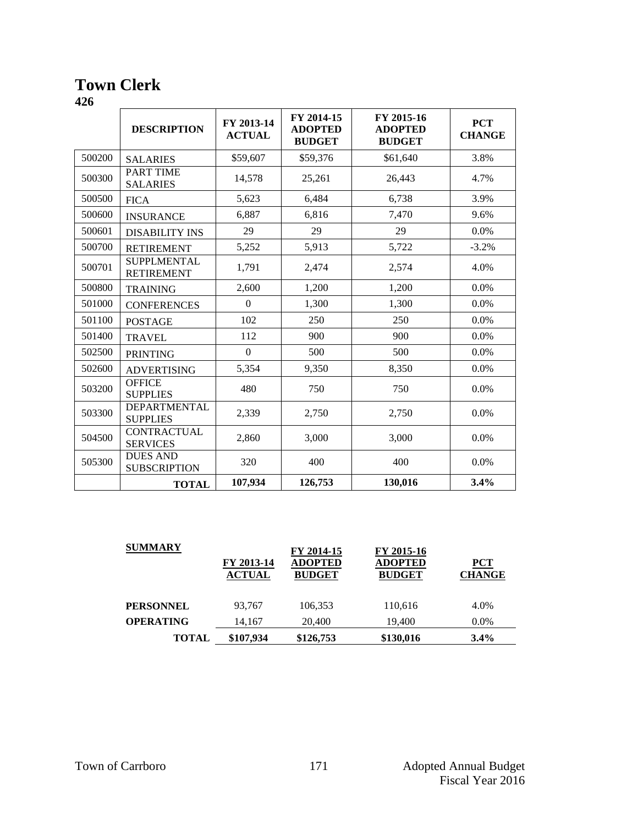## **Town Clerk**

|        | <b>DESCRIPTION</b>                      | FY 2013-14<br><b>ACTUAL</b> | FY 2014-15<br><b>ADOPTED</b><br><b>BUDGET</b> | FY 2015-16<br><b>ADOPTED</b><br><b>BUDGET</b> | <b>PCT</b><br><b>CHANGE</b> |
|--------|-----------------------------------------|-----------------------------|-----------------------------------------------|-----------------------------------------------|-----------------------------|
| 500200 | <b>SALARIES</b>                         | \$59,607                    | \$59,376                                      | \$61,640                                      | 3.8%                        |
| 500300 | <b>PART TIME</b><br><b>SALARIES</b>     | 14,578                      | 25,261                                        | 26,443                                        | 4.7%                        |
| 500500 | <b>FICA</b>                             | 5,623                       | 6,484                                         | 6,738                                         | 3.9%                        |
| 500600 | <b>INSURANCE</b>                        | 6,887                       | 6,816                                         | 7,470                                         | 9.6%                        |
| 500601 | <b>DISABILITY INS</b>                   | 29                          | 29                                            | 29                                            | 0.0%                        |
| 500700 | <b>RETIREMENT</b>                       | 5,252                       | 5,913                                         | 5,722                                         | $-3.2%$                     |
| 500701 | <b>SUPPLMENTAL</b><br><b>RETIREMENT</b> | 1,791                       | 2,474                                         | 2,574                                         | 4.0%                        |
| 500800 | <b>TRAINING</b>                         | 2,600                       | 1,200                                         | 1,200                                         | $0.0\%$                     |
| 501000 | <b>CONFERENCES</b>                      | $\boldsymbol{0}$            | 1,300                                         | 1,300                                         | 0.0%                        |
| 501100 | <b>POSTAGE</b>                          | 102                         | 250                                           | 250                                           | $0.0\%$                     |
| 501400 | <b>TRAVEL</b>                           | 112                         | 900                                           | 900                                           | $0.0\%$                     |
| 502500 | <b>PRINTING</b>                         | $\boldsymbol{0}$            | 500                                           | 500                                           | 0.0%                        |
| 502600 | <b>ADVERTISING</b>                      | 5,354                       | 9,350                                         | 8,350                                         | $0.0\%$                     |
| 503200 | <b>OFFICE</b><br><b>SUPPLIES</b>        | 480                         | 750                                           | 750                                           | $0.0\%$                     |
| 503300 | <b>DEPARTMENTAL</b><br><b>SUPPLIES</b>  | 2,339                       | 2,750                                         | 2,750                                         | 0.0%                        |
| 504500 | <b>CONTRACTUAL</b><br><b>SERVICES</b>   | 2,860                       | 3,000                                         | 3,000                                         | $0.0\%$                     |
| 505300 | <b>DUES AND</b><br><b>SUBSCRIPTION</b>  | 320                         | 400                                           | 400                                           | 0.0%                        |
|        | <b>TOTAL</b>                            | 107,934                     | 126,753                                       | 130,016                                       | 3.4%                        |

| <b>SUMMARY</b>   |                             | FY 2014-15                      | FY 2015-16                      |                             |
|------------------|-----------------------------|---------------------------------|---------------------------------|-----------------------------|
|                  | FY 2013-14<br><b>ACTUAL</b> | <b>ADOPTED</b><br><b>BUDGET</b> | <b>ADOPTED</b><br><b>BUDGET</b> | <b>PCT</b><br><b>CHANGE</b> |
| <b>PERSONNEL</b> | 93.767                      | 106,353                         | 110,616                         | 4.0%                        |
| <b>OPERATING</b> | 14,167                      | 20,400                          | 19,400                          | $0.0\%$                     |
| <b>TOTAL</b>     | \$107,934                   | \$126,753                       | \$130,016                       | 3.4%                        |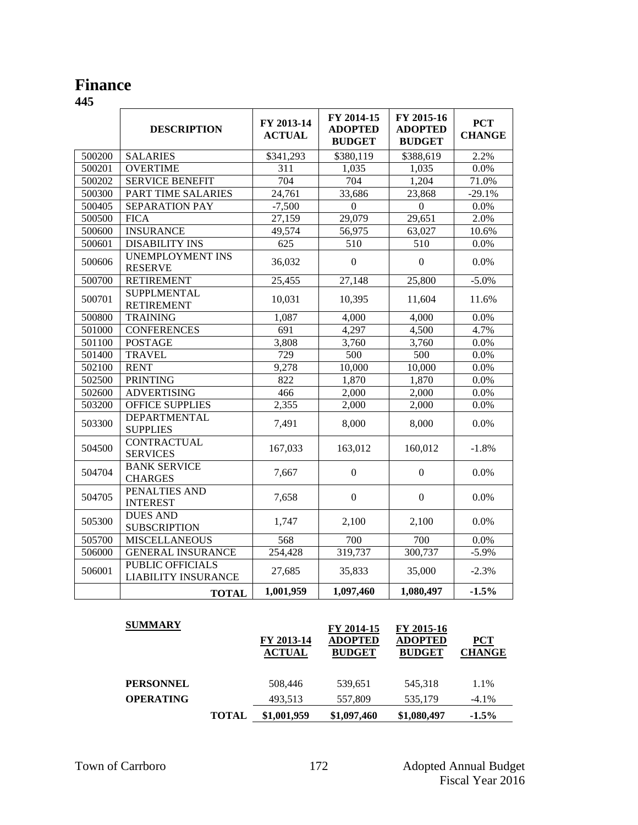## **Finance**

|        | <b>DESCRIPTION</b>                             | FY 2013-14<br><b>ACTUAL</b> | FY 2014-15<br><b>ADOPTED</b><br><b>BUDGET</b> | FY 2015-16<br><b>ADOPTED</b><br><b>BUDGET</b> | <b>PCT</b><br><b>CHANGE</b> |
|--------|------------------------------------------------|-----------------------------|-----------------------------------------------|-----------------------------------------------|-----------------------------|
| 500200 | <b>SALARIES</b>                                | \$341,293                   | \$380,119                                     | \$388,619                                     | 2.2%                        |
| 500201 | <b>OVERTIME</b>                                | 311                         | 1,035                                         | 1,035                                         | 0.0%                        |
| 500202 | <b>SERVICE BENEFIT</b>                         | 704                         | 704                                           | 1,204                                         | 71.0%                       |
| 500300 | PART TIME SALARIES                             | 24,761                      | 33,686                                        | 23,868                                        | $-29.1%$                    |
| 500405 | SEPARATION PAY                                 | $-7,500$                    | $\mathbf{0}$                                  | $\mathbf{0}$                                  | 0.0%                        |
| 500500 | <b>FICA</b>                                    | 27,159                      | 29,079                                        | 29,651                                        | 2.0%                        |
| 500600 | <b>INSURANCE</b>                               | 49,574                      | 56,975                                        | 63,027                                        | 10.6%                       |
| 500601 | <b>DISABILITY INS</b>                          | 625                         | 510                                           | 510                                           | 0.0%                        |
| 500606 | <b>UNEMPLOYMENT INS</b><br><b>RESERVE</b>      | 36,032                      | $\boldsymbol{0}$                              | $\boldsymbol{0}$                              | 0.0%                        |
| 500700 | <b>RETIREMENT</b>                              | $\overline{25,455}$         | 27,148                                        | 25,800                                        | $-5.0%$                     |
| 500701 | <b>SUPPLMENTAL</b><br><b>RETIREMENT</b>        | 10,031                      | 10,395                                        | 11,604                                        | 11.6%                       |
| 500800 | <b>TRAINING</b>                                | 1,087                       | 4,000                                         | 4,000                                         | 0.0%                        |
| 501000 | <b>CONFERENCES</b>                             | 691                         | 4,297                                         | 4,500                                         | 4.7%                        |
| 501100 | <b>POSTAGE</b>                                 | 3,808                       | 3,760                                         | 3,760                                         | 0.0%                        |
| 501400 | <b>TRAVEL</b>                                  | 729                         | 500                                           | 500                                           | 0.0%                        |
| 502100 | <b>RENT</b>                                    | 9,278                       | 10,000                                        | 10,000                                        | 0.0%                        |
| 502500 | <b>PRINTING</b>                                | 822                         | 1,870                                         | 1,870                                         | 0.0%                        |
| 502600 | <b>ADVERTISING</b>                             | 466                         | 2,000                                         | 2,000                                         | 0.0%                        |
| 503200 | <b>OFFICE SUPPLIES</b>                         | 2,355                       | 2,000                                         | 2,000                                         | 0.0%                        |
| 503300 | <b>DEPARTMENTAL</b><br><b>SUPPLIES</b>         | 7,491                       | 8,000                                         | 8,000                                         | 0.0%                        |
| 504500 | <b>CONTRACTUAL</b><br><b>SERVICES</b>          | 167,033                     | 163,012                                       | 160,012                                       | $-1.8%$                     |
| 504704 | <b>BANK SERVICE</b><br><b>CHARGES</b>          | 7,667                       | $\boldsymbol{0}$                              | $\boldsymbol{0}$                              | 0.0%                        |
| 504705 | PENALTIES AND<br><b>INTEREST</b>               | 7,658                       | $\boldsymbol{0}$                              | $\overline{0}$                                | 0.0%                        |
| 505300 | <b>DUES AND</b><br><b>SUBSCRIPTION</b>         | 1,747                       | 2,100                                         | 2,100                                         | 0.0%                        |
| 505700 | <b>MISCELLANEOUS</b>                           | 568                         | 700                                           | 700                                           | 0.0%                        |
| 506000 | <b>GENERAL INSURANCE</b>                       | 254,428                     | 319,737                                       | 300,737                                       | $-5.9%$                     |
| 506001 | PUBLIC OFFICIALS<br><b>LIABILITY INSURANCE</b> | 27,685                      | 35,833                                        | 35,000                                        | $-2.3%$                     |
|        | <b>TOTAL</b>                                   | 1,001,959                   | 1,097,460                                     | 1,080,497                                     | $-1.5%$                     |

| <b>SUMMARY</b>   |              |                             | FY 2014-15                      | FY 2015-16                      |                      |
|------------------|--------------|-----------------------------|---------------------------------|---------------------------------|----------------------|
|                  |              | FY 2013-14<br><b>ACTUAL</b> | <b>ADOPTED</b><br><b>BUDGET</b> | <b>ADOPTED</b><br><b>BUDGET</b> | PCT<br><b>CHANGE</b> |
| <b>PERSONNEL</b> |              | 508,446                     | 539,651                         | 545.318                         | 1.1%                 |
| <b>OPERATING</b> |              | 493.513                     | 557,809                         | 535,179                         | $-4.1\%$             |
|                  | <b>TOTAL</b> | \$1,001,959                 | \$1,097,460                     | \$1,080,497                     | $-1.5\%$             |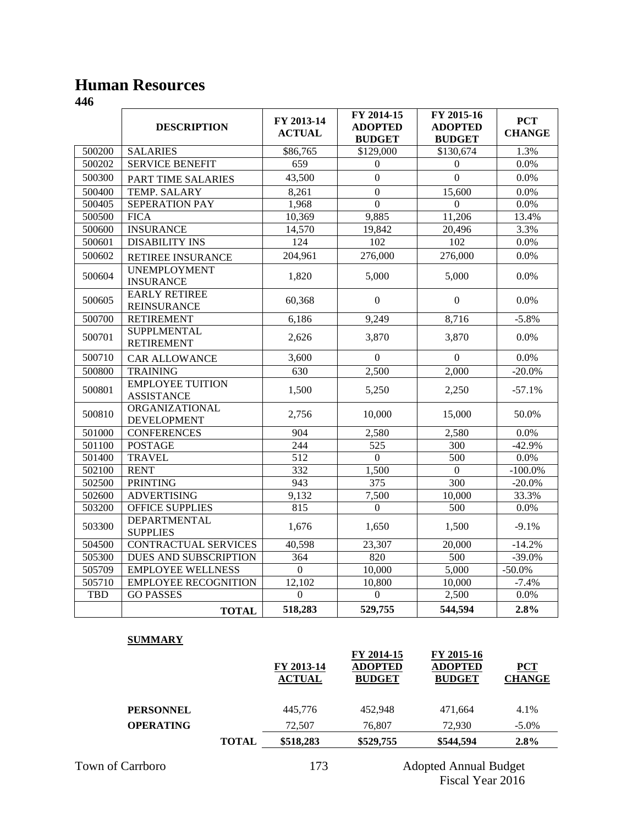### **Human Resources**

**446**

|            | <b>DESCRIPTION</b>                           | FY 2013-14<br><b>ACTUAL</b> | FY 2014-15<br><b>ADOPTED</b><br><b>BUDGET</b> | FY 2015-16<br><b>ADOPTED</b><br><b>BUDGET</b> | <b>PCT</b><br><b>CHANGE</b> |
|------------|----------------------------------------------|-----------------------------|-----------------------------------------------|-----------------------------------------------|-----------------------------|
| 500200     | <b>SALARIES</b>                              | \$86,765                    | \$129,000                                     | \$130,674                                     | 1.3%                        |
| 500202     | <b>SERVICE BENEFIT</b>                       | 659                         | $\Omega$                                      | $\Omega$                                      | 0.0%                        |
| 500300     | PART TIME SALARIES                           | 43,500                      | $\theta$                                      | $\Omega$                                      | 0.0%                        |
| 500400     | <b>TEMP. SALARY</b>                          | 8,261                       | $\boldsymbol{0}$                              | 15,600                                        | 0.0%                        |
| 500405     | <b>SEPERATION PAY</b>                        | 1,968                       | $\overline{0}$                                | $\Omega$                                      | 0.0%                        |
| 500500     | <b>FICA</b>                                  | 10,369                      | 9,885                                         | 11,206                                        | 13.4%                       |
| 500600     | <b>INSURANCE</b>                             | 14,570                      | 19,842                                        | 20,496                                        | 3.3%                        |
| 500601     | <b>DISABILITY INS</b>                        | $\overline{124}$            | 102                                           | 102                                           | 0.0%                        |
| 500602     | <b>RETIREE INSURANCE</b>                     | 204,961                     | 276,000                                       | 276,000                                       | 0.0%                        |
| 500604     | <b>UNEMPLOYMENT</b><br><b>INSURANCE</b>      | 1,820                       | 5,000                                         | 5,000                                         | 0.0%                        |
| 500605     | <b>EARLY RETIREE</b><br><b>REINSURANCE</b>   | 60,368                      | $\Omega$                                      | $\overline{0}$                                | 0.0%                        |
| 500700     | <b>RETIREMENT</b>                            | 6,186                       | 9,249                                         | 8,716                                         | $-5.8%$                     |
| 500701     | <b>SUPPLMENTAL</b><br><b>RETIREMENT</b>      | 2,626                       | 3,870                                         | 3,870                                         | 0.0%                        |
| 500710     | <b>CAR ALLOWANCE</b>                         | 3,600                       | $\overline{0}$                                | $\overline{0}$                                | 0.0%                        |
| 500800     | <b>TRAINING</b>                              | 630                         | 2,500                                         | 2,000                                         | $-20.0\%$                   |
| 500801     | <b>EMPLOYEE TUITION</b><br><b>ASSISTANCE</b> | 1,500                       | 5,250                                         | 2,250                                         | $-57.1%$                    |
| 500810     | ORGANIZATIONAL<br><b>DEVELOPMENT</b>         | 2,756                       | 10,000                                        | 15,000                                        | 50.0%                       |
| 501000     | <b>CONFERENCES</b>                           | 904                         | 2,580                                         | 2,580                                         | 0.0%                        |
| 501100     | <b>POSTAGE</b>                               | 244                         | 525                                           | 300                                           | $-42.9%$                    |
| 501400     | <b>TRAVEL</b>                                | 512                         | $\Omega$                                      | 500                                           | $0.0\%$                     |
| 502100     | <b>RENT</b>                                  | 332                         | 1,500                                         | $\Omega$                                      | $-100.0\%$                  |
| 502500     | <b>PRINTING</b>                              | 943                         | 375                                           | 300                                           | $-20.0\%$                   |
| 502600     | <b>ADVERTISING</b>                           | 9,132                       | 7,500                                         | 10,000                                        | 33.3%                       |
| 503200     | <b>OFFICE SUPPLIES</b>                       | 815                         | $\Omega$                                      | 500                                           | 0.0%                        |
| 503300     | <b>DEPARTMENTAL</b><br><b>SUPPLIES</b>       | 1,676                       | 1,650                                         | 1,500                                         | $-9.1%$                     |
| 504500     | CONTRACTUAL SERVICES                         | 40,598                      | 23,307                                        | 20,000                                        | $-14.2%$                    |
| 505300     | DUES AND SUBSCRIPTION                        | 364                         | 820                                           | 500                                           | $-39.0%$                    |
| 505709     | <b>EMPLOYEE WELLNESS</b>                     | $\boldsymbol{0}$            | 10,000                                        | 5,000                                         | $-50.0\%$                   |
| 505710     | <b>EMPLOYEE RECOGNITION</b>                  | 12,102                      | 10,800                                        | 10,000                                        | $-7.4%$                     |
| <b>TBD</b> | <b>GO PASSES</b>                             | $\boldsymbol{0}$            | $\boldsymbol{0}$                              | 2,500                                         | 0.0%                        |
|            | <b>TOTAL</b>                                 | 518,283                     | 529,755                                       | 544,594                                       | 2.8%                        |

#### **SUMMARY**

|                  |              | FY 2013-14<br><b>ACTUAL</b> | FY 2014-15<br><b>ADOPTED</b><br><b>BUDGET</b> | FY 2015-16<br><b>ADOPTED</b><br><b>BUDGET</b> | $PCT$<br><b>CHANGE</b> |
|------------------|--------------|-----------------------------|-----------------------------------------------|-----------------------------------------------|------------------------|
| <b>PERSONNEL</b> |              | 445,776                     | 452.948                                       | 471.664                                       | 4.1%                   |
| <b>OPERATING</b> |              | 72,507                      | 76,807                                        | 72,930                                        | $-5.0\%$               |
|                  | <b>TOTAL</b> | \$518,283                   | \$529,755                                     | \$544,594                                     | $2.8\%$                |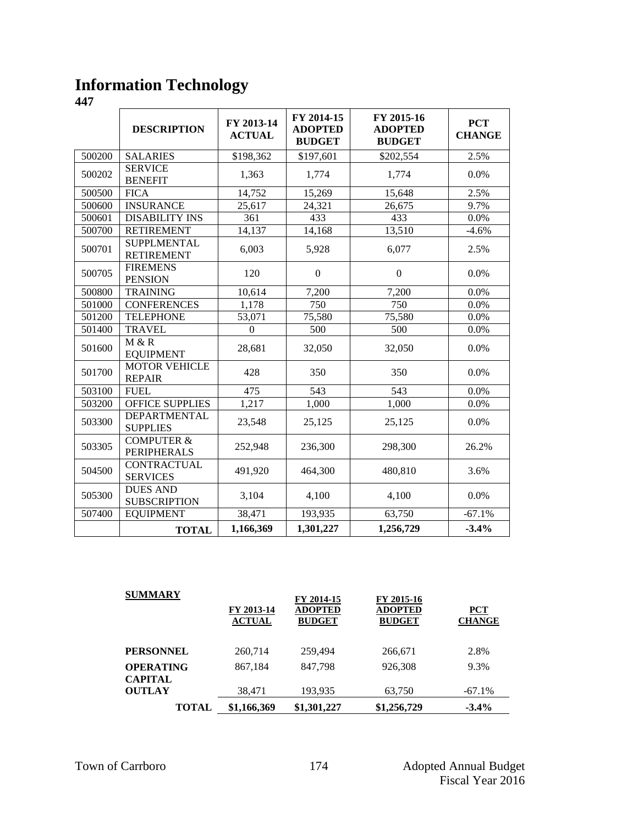# **Information Technology**

|        | <b>DESCRIPTION</b>                          | FY 2013-14<br><b>ACTUAL</b> | FY 2014-15<br><b>ADOPTED</b><br><b>BUDGET</b> | FY 2015-16<br><b>ADOPTED</b><br><b>BUDGET</b> | <b>PCT</b><br><b>CHANGE</b> |
|--------|---------------------------------------------|-----------------------------|-----------------------------------------------|-----------------------------------------------|-----------------------------|
| 500200 | <b>SALARIES</b>                             | \$198,362                   | \$197,601                                     | \$202,554                                     | 2.5%                        |
| 500202 | <b>SERVICE</b><br><b>BENEFIT</b>            | 1,363                       | 1,774                                         | 1,774                                         | 0.0%                        |
| 500500 | <b>FICA</b>                                 | 14,752                      | 15,269                                        | 15,648                                        | 2.5%                        |
| 500600 | <b>INSURANCE</b>                            | 25,617                      | 24,321                                        | 26,675                                        | 9.7%                        |
| 500601 | <b>DISABILITY INS</b>                       | 361                         | 433                                           | 433                                           | 0.0%                        |
| 500700 | <b>RETIREMENT</b>                           | 14,137                      | 14,168                                        | 13,510                                        | $-4.6%$                     |
| 500701 | <b>SUPPLMENTAL</b><br><b>RETIREMENT</b>     | 6,003                       | 5,928                                         | 6,077                                         | 2.5%                        |
| 500705 | <b>FIREMENS</b><br><b>PENSION</b>           | 120                         | $\boldsymbol{0}$                              | $\boldsymbol{0}$                              | 0.0%                        |
| 500800 | <b>TRAINING</b>                             | 10,614                      | 7,200                                         | 7,200                                         | 0.0%                        |
| 501000 | <b>CONFERENCES</b>                          | 1,178                       | 750                                           | 750                                           | 0.0%                        |
| 501200 | <b>TELEPHONE</b>                            | 53,071                      | 75,580                                        | 75,580                                        | 0.0%                        |
| 501400 | <b>TRAVEL</b>                               | $\Omega$                    | 500                                           | 500                                           | 0.0%                        |
| 501600 | M & R<br><b>EQUIPMENT</b>                   | 28,681                      | 32,050                                        | 32,050                                        | 0.0%                        |
| 501700 | <b>MOTOR VEHICLE</b><br><b>REPAIR</b>       | 428                         | 350                                           | 350                                           | 0.0%                        |
| 503100 | <b>FUEL</b>                                 | 475                         | 543                                           | 543                                           | 0.0%                        |
| 503200 | <b>OFFICE SUPPLIES</b>                      | 1,217                       | 1,000                                         | 1,000                                         | 0.0%                        |
| 503300 | DEPARTMENTAL<br><b>SUPPLIES</b>             | 23,548                      | 25,125                                        | 25,125                                        | 0.0%                        |
| 503305 | <b>COMPUTER &amp;</b><br><b>PERIPHERALS</b> | 252,948                     | 236,300                                       | 298,300                                       | 26.2%                       |
| 504500 | <b>CONTRACTUAL</b><br><b>SERVICES</b>       | 491,920                     | 464,300                                       | 480,810                                       | 3.6%                        |
| 505300 | <b>DUES AND</b><br><b>SUBSCRIPTION</b>      | 3,104                       | 4,100                                         | 4,100                                         | 0.0%                        |
| 507400 | <b>EQUIPMENT</b>                            | 38,471                      | 193,935                                       | 63,750                                        | $-67.1%$                    |
|        | <b>TOTAL</b>                                | 1,166,369                   | 1,301,227                                     | 1,256,729                                     | $-3.4%$                     |

| <b>SUMMARY</b>                     | FY 2013-14<br><b>ACTUAL</b> | FY 2014-15<br><b>ADOPTED</b><br><b>BUDGET</b> | FY 2015-16<br><b>ADOPTED</b><br><b>BUDGET</b> | <b>PCT</b><br><b>CHANGE</b> |
|------------------------------------|-----------------------------|-----------------------------------------------|-----------------------------------------------|-----------------------------|
| <b>PERSONNEL</b>                   | 260,714                     | 259,494                                       | 266,671                                       | 2.8%                        |
| <b>OPERATING</b><br><b>CAPITAL</b> | 867,184                     | 847,798                                       | 926,308                                       | 9.3%                        |
| <b>OUTLAY</b>                      | 38,471                      | 193,935                                       | 63,750                                        | $-67.1\%$                   |
| <b>TOTAL</b>                       | \$1,166,369                 | \$1,301,227                                   | \$1,256,729                                   | $-3.4\%$                    |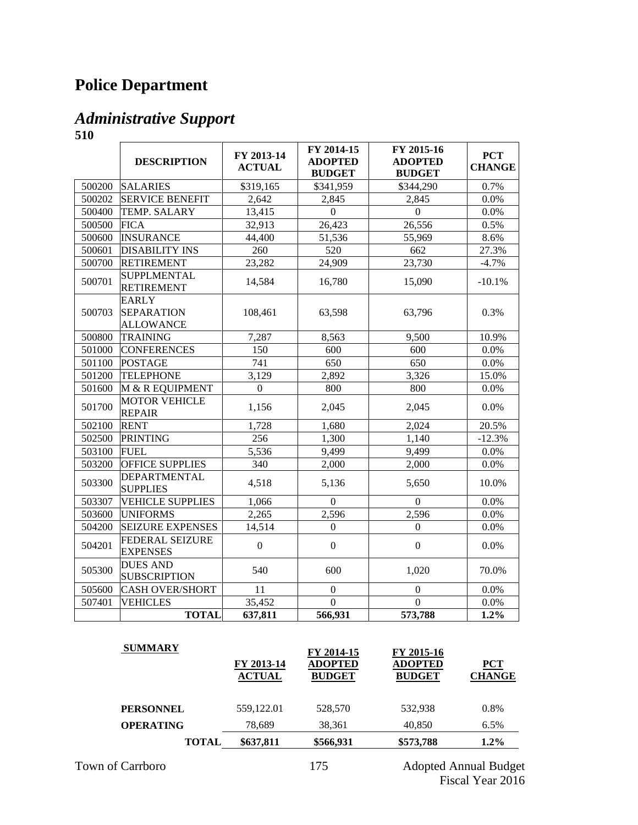# **Police Department**

## *Administrative Support*

|        | <b>DESCRIPTION</b>                                    | FY 2013-14<br><b>ACTUAL</b> | FY 2014-15<br><b>ADOPTED</b><br><b>BUDGET</b> | FY 2015-16<br><b>ADOPTED</b><br><b>BUDGET</b> | <b>PCT</b><br><b>CHANGE</b> |
|--------|-------------------------------------------------------|-----------------------------|-----------------------------------------------|-----------------------------------------------|-----------------------------|
| 500200 | <b>SALARIES</b>                                       | \$319,165                   | \$341,959                                     | \$344,290                                     | 0.7%                        |
| 500202 | <b>SERVICE BENEFIT</b>                                | 2,642                       | 2,845                                         | 2,845                                         | 0.0%                        |
| 500400 | <b>TEMP. SALARY</b>                                   | 13,415                      | $\overline{0}$                                | $\mathbf{0}$                                  | 0.0%                        |
| 500500 | <b>FICA</b>                                           | 32,913                      | 26,423                                        | 26,556                                        | 0.5%                        |
| 500600 | <b>INSURANCE</b>                                      | 44,400                      | 51,536                                        | 55,969                                        | 8.6%                        |
| 500601 | <b>DISABILITY INS</b>                                 | 260                         | 520                                           | 662                                           | 27.3%                       |
| 500700 | <b>RETIREMENT</b>                                     | 23,282                      | 24,909                                        | 23,730                                        | $-4.7%$                     |
| 500701 | <b>SUPPLMENTAL</b><br><b>RETIREMENT</b>               | 14,584                      | 16,780                                        | 15,090                                        | $-10.1%$                    |
| 500703 | <b>EARLY</b><br><b>SEPARATION</b><br><b>ALLOWANCE</b> | 108,461                     | 63,598                                        | 63,796                                        | 0.3%                        |
| 500800 | <b>TRAINING</b>                                       | 7,287                       | 8,563                                         | 9,500                                         | 10.9%                       |
| 501000 | <b>CONFERENCES</b>                                    | 150                         | 600                                           | 600                                           | 0.0%                        |
| 501100 | <b>POSTAGE</b>                                        | 741                         | 650                                           | 650                                           | 0.0%                        |
| 501200 | <b>TELEPHONE</b>                                      | 3,129                       | 2,892                                         | 3,326                                         | 15.0%                       |
| 501600 | M & R EQUIPMENT                                       | $\overline{0}$              | 800                                           | 800                                           | 0.0%                        |
| 501700 | <b>MOTOR VEHICLE</b><br><b>REPAIR</b>                 | 1,156                       | 2,045                                         | 2,045                                         | 0.0%                        |
| 502100 | <b>RENT</b>                                           | 1,728                       | 1,680                                         | 2,024                                         | 20.5%                       |
| 502500 | <b>PRINTING</b>                                       | 256                         | 1,300                                         | 1,140                                         | $-12.3%$                    |
| 503100 | <b>FUEL</b>                                           | 5,536                       | 9,499                                         | 9,499                                         | 0.0%                        |
| 503200 | <b>OFFICE SUPPLIES</b>                                | 340                         | 2,000                                         | 2,000                                         | 0.0%                        |
| 503300 | <b>DEPARTMENTAL</b><br><b>SUPPLIES</b>                | 4,518                       | 5,136                                         | 5,650                                         | 10.0%                       |
| 503307 | <b>VEHICLE SUPPLIES</b>                               | 1,066                       | $\boldsymbol{0}$                              | $\mathbf{0}$                                  | 0.0%                        |
| 503600 | <b>UNIFORMS</b>                                       | 2,265                       | 2,596                                         | 2,596                                         | 0.0%                        |
| 504200 | <b>SEIZURE EXPENSES</b>                               | 14,514                      | $\mathbf{0}$                                  | $\boldsymbol{0}$                              | 0.0%                        |
| 504201 | <b>FEDERAL SEIZURE</b><br><b>EXPENSES</b>             | $\overline{0}$              | $\mathbf{0}$                                  | $\boldsymbol{0}$                              | 0.0%                        |
| 505300 | <b>DUES AND</b><br><b>SUBSCRIPTION</b>                | 540                         | 600                                           | 1,020                                         | 70.0%                       |
| 505600 | <b>CASH OVER/SHORT</b>                                | 11                          | $\mathbf{0}$                                  | $\boldsymbol{0}$                              | 0.0%                        |
| 507401 | <b>VEHICLES</b>                                       | 35,452                      | $\overline{0}$                                | $\overline{0}$                                | $0.0\%$                     |
|        | <b>TOTAL</b>                                          | 637,811                     | 566,931                                       | 573,788                                       | 1.2%                        |

| <b>SUMMARY</b>   | FY 2013-14<br><b>ACTUAL</b> | FY 2014-15<br><b>ADOPTED</b><br><b>BUDGET</b> | FY 2015-16<br><b>ADOPTED</b><br><b>BUDGET</b> | <b>PCT</b><br><b>CHANGE</b> |
|------------------|-----------------------------|-----------------------------------------------|-----------------------------------------------|-----------------------------|
| <b>PERSONNEL</b> | 559.122.01                  | 528,570                                       | 532.938                                       | 0.8%                        |
| <b>OPERATING</b> | 78.689                      | 38,361                                        | 40.850                                        | 6.5%                        |
| <b>TOTAL</b>     | \$637,811                   | \$566,931                                     | \$573,788                                     | $1.2\%$                     |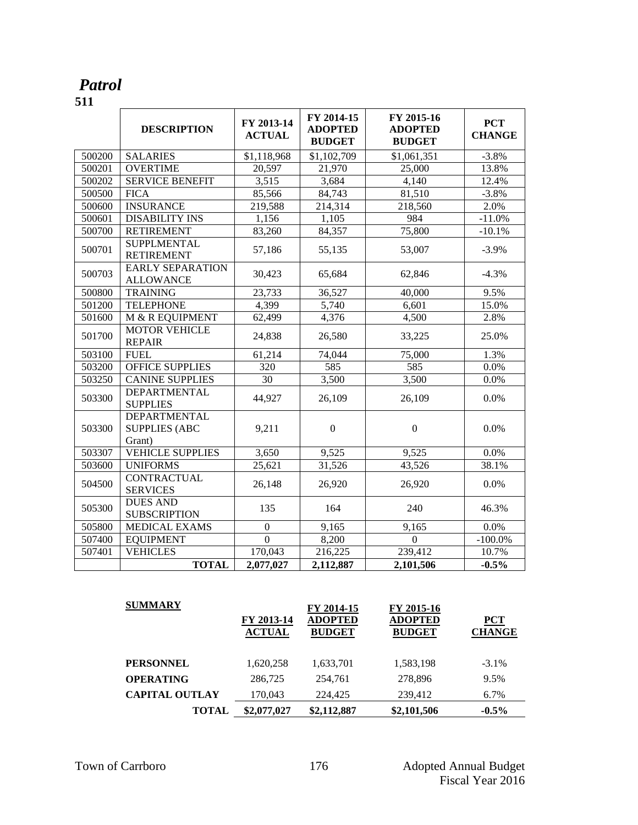#### *Patrol* **511**

|        | <b>DESCRIPTION</b>                                    | FY 2013-14<br><b>ACTUAL</b> | FY 2014-15<br><b>ADOPTED</b><br><b>BUDGET</b> | FY 2015-16<br><b>ADOPTED</b><br><b>BUDGET</b> | <b>PCT</b><br><b>CHANGE</b> |
|--------|-------------------------------------------------------|-----------------------------|-----------------------------------------------|-----------------------------------------------|-----------------------------|
| 500200 | <b>SALARIES</b>                                       | \$1,118,968                 | \$1,102,709                                   | \$1,061,351                                   | $-3.8%$                     |
| 500201 | <b>OVERTIME</b>                                       | 20,597                      | 21,970                                        | 25,000                                        | 13.8%                       |
| 500202 | <b>SERVICE BENEFIT</b>                                | 3,515                       | 3,684                                         | 4,140                                         | 12.4%                       |
| 500500 | <b>FICA</b>                                           | 85,566                      | 84,743                                        | 81,510                                        | $-3.8%$                     |
| 500600 | <b>INSURANCE</b>                                      | 219,588                     | 214,314                                       | 218,560                                       | 2.0%                        |
| 500601 | <b>DISABILITY INS</b>                                 | 1,156                       | 1,105                                         | 984                                           | $-11.0%$                    |
| 500700 | <b>RETIREMENT</b>                                     | 83,260                      | 84,357                                        | 75,800                                        | $-10.1%$                    |
| 500701 | <b>SUPPLMENTAL</b><br><b>RETIREMENT</b>               | 57,186                      | 55,135                                        | 53,007                                        | $-3.9%$                     |
| 500703 | <b>EARLY SEPARATION</b><br><b>ALLOWANCE</b>           | 30,423                      | 65,684                                        | 62,846                                        | $-4.3%$                     |
| 500800 | <b>TRAINING</b>                                       | 23,733                      | 36,527                                        | 40,000                                        | 9.5%                        |
| 501200 | <b>TELEPHONE</b>                                      | 4,399                       | 5,740                                         | 6,601                                         | 15.0%                       |
| 501600 | M & R EQUIPMENT                                       | 62,499                      | 4,376                                         | 4,500                                         | 2.8%                        |
| 501700 | <b>MOTOR VEHICLE</b><br><b>REPAIR</b>                 | 24,838                      | 26,580                                        | 33,225                                        | 25.0%                       |
| 503100 | <b>FUEL</b>                                           | 61,214                      | 74,044                                        | 75,000                                        | 1.3%                        |
| 503200 | <b>OFFICE SUPPLIES</b>                                | 320                         | 585                                           | 585                                           | 0.0%                        |
| 503250 | <b>CANINE SUPPLIES</b>                                | 30                          | 3,500                                         | 3,500                                         | 0.0%                        |
| 503300 | <b>DEPARTMENTAL</b><br><b>SUPPLIES</b>                | 44,927                      | 26,109                                        | 26,109                                        | 0.0%                        |
| 503300 | <b>DEPARTMENTAL</b><br><b>SUPPLIES (ABC</b><br>Grant) | 9,211                       | $\boldsymbol{0}$                              | $\mathbf{0}$                                  | 0.0%                        |
| 503307 | <b>VEHICLE SUPPLIES</b>                               | 3,650                       | 9,525                                         | 9,525                                         | 0.0%                        |
| 503600 | <b>UNIFORMS</b>                                       | 25,621                      | 31,526                                        | 43,526                                        | 38.1%                       |
| 504500 | <b>CONTRACTUAL</b><br><b>SERVICES</b>                 | 26,148                      | 26,920                                        | 26,920                                        | 0.0%                        |
| 505300 | <b>DUES AND</b><br><b>SUBSCRIPTION</b>                | 135                         | 164                                           | 240                                           | 46.3%                       |
| 505800 | MEDICAL EXAMS                                         | $\boldsymbol{0}$            | 9,165                                         | 9,165                                         | 0.0%                        |
| 507400 | <b>EQUIPMENT</b>                                      | $\overline{0}$              | 8,200                                         | $\mathbf{0}$                                  | $-100.0\%$                  |
| 507401 | <b>VEHICLES</b>                                       | 170,043                     | 216,225                                       | 239,412                                       | 10.7%                       |
|        | <b>TOTAL</b>                                          | 2,077,027                   | 2,112,887                                     | 2,101,506                                     | $-0.5%$                     |

| <b>SUMMARY</b>        | FY 2013-14<br><b>ACTUAL</b> | FY 2014-15<br><b>ADOPTED</b><br><b>BUDGET</b> | FY 2015-16<br><b>ADOPTED</b><br><b>BUDGET</b> | <b>PCT</b><br><b>CHANGE</b> |
|-----------------------|-----------------------------|-----------------------------------------------|-----------------------------------------------|-----------------------------|
| <b>PERSONNEL</b>      | 1,620,258                   | 1,633,701                                     | 1,583,198                                     | $-3.1\%$                    |
| <b>OPERATING</b>      | 286,725                     | 254,761                                       | 278,896                                       | 9.5%                        |
| <b>CAPITAL OUTLAY</b> | 170,043                     | 224,425                                       | 239,412                                       | 6.7%                        |
| <b>TOTAL</b>          | \$2,077,027                 | \$2,112,887                                   | \$2,101,506                                   | $-0.5\%$                    |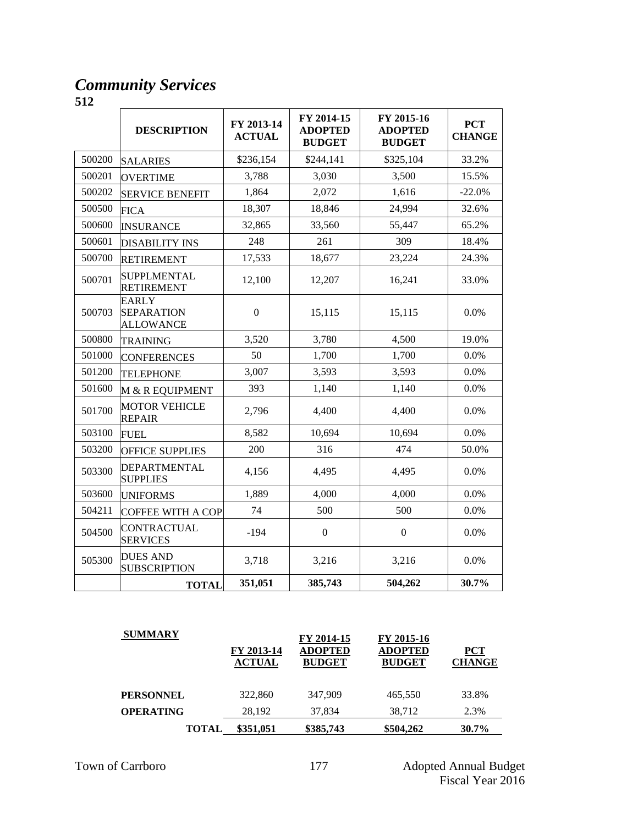#### *Community Services*

|        | <b>DESCRIPTION</b>                                    | FY 2013-14<br><b>ACTUAL</b> | FY 2014-15<br><b>ADOPTED</b><br><b>BUDGET</b> | FY 2015-16<br><b>ADOPTED</b><br><b>BUDGET</b> | <b>PCT</b><br><b>CHANGE</b> |
|--------|-------------------------------------------------------|-----------------------------|-----------------------------------------------|-----------------------------------------------|-----------------------------|
| 500200 | <b>SALARIES</b>                                       | \$236,154                   | \$244,141                                     | \$325,104                                     | 33.2%                       |
| 500201 | <b>OVERTIME</b>                                       | 3,788                       | 3,030                                         | 3,500                                         | 15.5%                       |
| 500202 | <b>SERVICE BENEFIT</b>                                | 1,864                       | 2,072                                         | 1,616                                         | $-22.0%$                    |
| 500500 | <b>FICA</b>                                           | 18,307                      | 18,846                                        | 24,994                                        | 32.6%                       |
| 500600 | <b>INSURANCE</b>                                      | 32,865                      | 33,560                                        | 55,447                                        | 65.2%                       |
| 500601 | <b>DISABILITY INS</b>                                 | 248                         | 261                                           | 309                                           | 18.4%                       |
| 500700 | <b>RETIREMENT</b>                                     | 17,533                      | 18,677                                        | 23,224                                        | 24.3%                       |
| 500701 | <b>SUPPLMENTAL</b><br><b>RETIREMENT</b>               | 12,100                      | 12,207                                        | 16,241                                        | 33.0%                       |
| 500703 | <b>EARLY</b><br><b>SEPARATION</b><br><b>ALLOWANCE</b> | $\boldsymbol{0}$            | 15,115                                        | 15,115                                        | 0.0%                        |
| 500800 | <b>TRAINING</b>                                       | 3,520                       | 3,780                                         | 4,500                                         | 19.0%                       |
| 501000 | <b>CONFERENCES</b>                                    | 50                          | 1,700                                         | 1,700                                         | 0.0%                        |
| 501200 | <b>TELEPHONE</b>                                      | 3,007                       | 3,593                                         | 3,593                                         | 0.0%                        |
| 501600 | M & R EQUIPMENT                                       | 393                         | 1,140                                         | 1,140                                         | 0.0%                        |
| 501700 | <b>MOTOR VEHICLE</b><br><b>REPAIR</b>                 | 2,796                       | 4,400                                         | 4,400                                         | 0.0%                        |
| 503100 | <b>FUEL</b>                                           | 8,582                       | 10,694                                        | 10,694                                        | 0.0%                        |
| 503200 | OFFICE SUPPLIES                                       | 200                         | 316                                           | 474                                           | 50.0%                       |
| 503300 | <b>DEPARTMENTAL</b><br><b>SUPPLIES</b>                | 4,156                       | 4,495                                         | 4.495                                         | 0.0%                        |
| 503600 | <b>UNIFORMS</b>                                       | 1,889                       | 4,000                                         | 4,000                                         | 0.0%                        |
| 504211 | <b>COFFEE WITH A COP</b>                              | 74                          | 500                                           | 500                                           | 0.0%                        |
| 504500 | CONTRACTUAL<br><b>SERVICES</b>                        | $-194$                      | $\overline{0}$                                | $\boldsymbol{0}$                              | 0.0%                        |
| 505300 | <b>DUES AND</b><br><b>SUBSCRIPTION</b>                | 3,718                       | 3,216                                         | 3,216                                         | 0.0%                        |
|        | <b>TOTAL</b>                                          | 351,051                     | 385,743                                       | 504,262                                       | 30.7%                       |

| <b>SUMMARY</b>   | FY 2013-14<br><b>ACTUAL</b> | FY 2014-15<br><b>ADOPTED</b><br><b>BUDGET</b> | FY 2015-16<br><b>ADOPTED</b><br><b>BUDGET</b> | <b>PCT</b><br><b>CHANGE</b> |
|------------------|-----------------------------|-----------------------------------------------|-----------------------------------------------|-----------------------------|
| <b>PERSONNEL</b> | 322,860                     | 347,909                                       | 465,550                                       | 33.8%                       |
| <b>OPERATING</b> | 28.192                      | 37,834                                        | 38,712                                        | 2.3%                        |
| <b>TOTAL</b>     | \$351,051                   | \$385,743                                     | \$504,262                                     | $30.7\%$                    |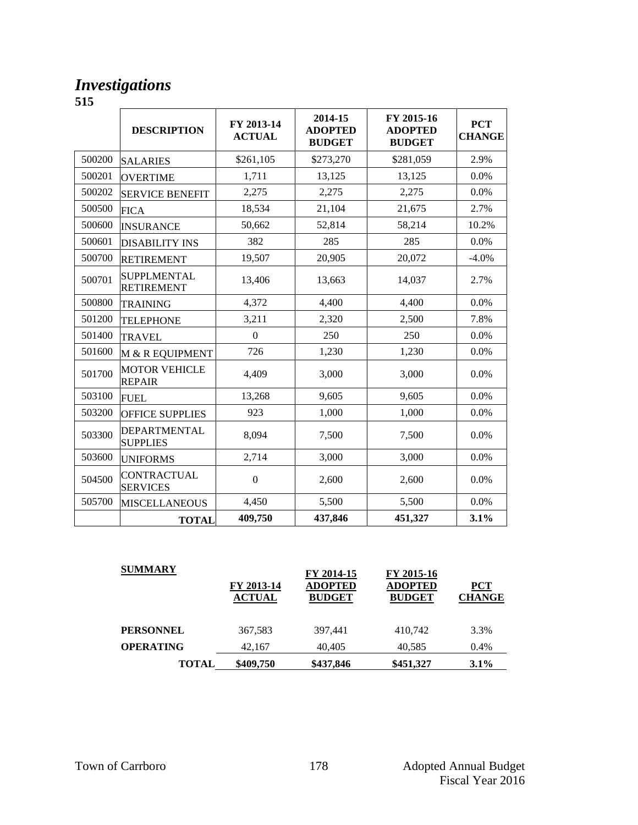#### *Investigations*

|        | <b>DESCRIPTION</b>                      | FY 2013-14<br><b>ACTUAL</b> | 2014-15<br><b>ADOPTED</b><br><b>BUDGET</b> | FY 2015-16<br><b>ADOPTED</b><br><b>BUDGET</b> | <b>PCT</b><br><b>CHANGE</b> |
|--------|-----------------------------------------|-----------------------------|--------------------------------------------|-----------------------------------------------|-----------------------------|
| 500200 | <b>SALARIES</b>                         | \$261,105                   | \$273,270                                  | \$281,059                                     | 2.9%                        |
| 500201 | <b>OVERTIME</b>                         | 1,711                       | 13,125                                     | 13,125                                        | 0.0%                        |
| 500202 | <b>SERVICE BENEFIT</b>                  | 2,275                       | 2,275                                      | 2,275                                         | 0.0%                        |
| 500500 | <b>FICA</b>                             | 18,534                      | 21,104                                     | 21,675                                        | 2.7%                        |
| 500600 | <b>INSURANCE</b>                        | 50,662                      | 52,814                                     | 58,214                                        | 10.2%                       |
| 500601 | <b>DISABILITY INS</b>                   | 382                         | 285                                        | 285                                           | 0.0%                        |
| 500700 | <b>RETIREMENT</b>                       | 19,507                      | 20,905                                     | 20,072                                        | $-4.0%$                     |
| 500701 | <b>SUPPLMENTAL</b><br><b>RETIREMENT</b> | 13,406                      | 13,663                                     | 14,037                                        | 2.7%                        |
| 500800 | <b>TRAINING</b>                         | 4,372                       | 4,400                                      | 4,400                                         | 0.0%                        |
| 501200 | <b>TELEPHONE</b>                        | 3,211                       | 2,320                                      | 2,500                                         | 7.8%                        |
| 501400 | <b>TRAVEL</b>                           | $\overline{0}$              | 250                                        | 250                                           | 0.0%                        |
| 501600 | M & R EQUIPMENT                         | 726                         | 1,230                                      | 1,230                                         | 0.0%                        |
| 501700 | <b>MOTOR VEHICLE</b><br><b>REPAIR</b>   | 4,409                       | 3,000                                      | 3,000                                         | 0.0%                        |
| 503100 | <b>FUEL</b>                             | 13,268                      | 9,605                                      | 9,605                                         | 0.0%                        |
| 503200 | <b>OFFICE SUPPLIES</b>                  | 923                         | 1,000                                      | 1,000                                         | 0.0%                        |
| 503300 | <b>DEPARTMENTAL</b><br><b>SUPPLIES</b>  | 8,094                       | 7,500                                      | 7,500                                         | 0.0%                        |
| 503600 | <b>UNIFORMS</b>                         | 2,714                       | 3,000                                      | 3,000                                         | 0.0%                        |
| 504500 | <b>CONTRACTUAL</b><br><b>SERVICES</b>   | $\boldsymbol{0}$            | 2,600                                      | 2,600                                         | 0.0%                        |
| 505700 | <b>MISCELLANEOUS</b>                    | 4,450                       | 5,500                                      | 5,500                                         | 0.0%                        |
|        | <b>TOTAL</b>                            | 409,750                     | 437,846                                    | 451,327                                       | 3.1%                        |

| <b>SUMMARY</b>   | FY 2013-14<br><b>ACTUAL</b> | FY 2014-15<br><b>ADOPTED</b><br><b>BUDGET</b> | FY 2015-16<br><b>ADOPTED</b><br><b>BUDGET</b> | PCT<br><b>CHANGE</b> |
|------------------|-----------------------------|-----------------------------------------------|-----------------------------------------------|----------------------|
| <b>PERSONNEL</b> | 367,583                     | 397.441                                       | 410.742                                       | 3.3%                 |
| <b>OPERATING</b> | 42.167                      | 40.405                                        | 40,585                                        | 0.4%                 |
| <b>TOTAL</b>     | \$409,750                   | \$437,846                                     | \$451,327                                     | $3.1\%$              |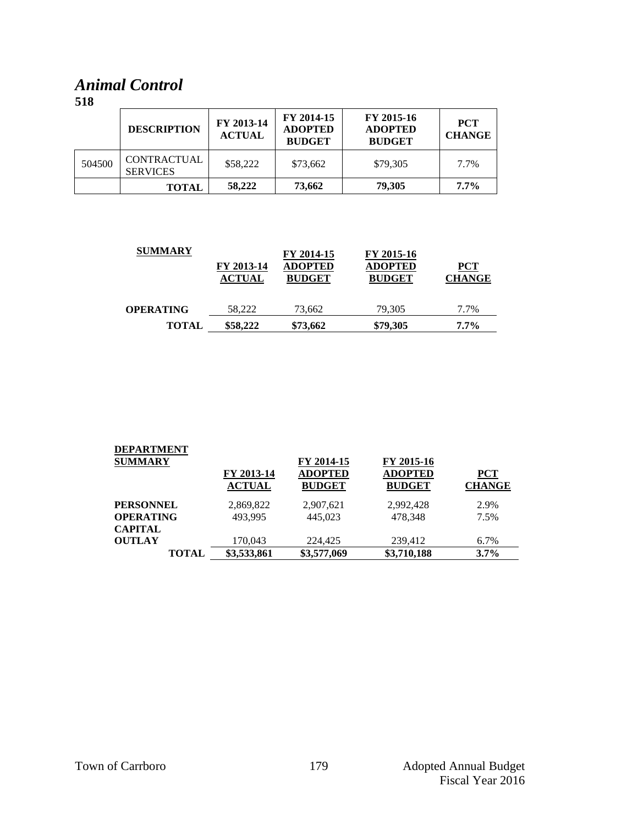### *Animal Control*

|        | <b>DESCRIPTION</b>                    | FY 2013-14<br><b>ACTUAL</b> | FY 2014-15<br><b>ADOPTED</b><br><b>BUDGET</b> | FY 2015-16<br><b>ADOPTED</b><br><b>BUDGET</b> | <b>PCT</b><br><b>CHANGE</b> |
|--------|---------------------------------------|-----------------------------|-----------------------------------------------|-----------------------------------------------|-----------------------------|
| 504500 | <b>CONTRACTUAL</b><br><b>SERVICES</b> | \$58,222                    | \$73,662                                      | \$79,305                                      | 7.7%                        |
|        | <b>TOTAL</b>                          | 58,222                      | 73,662                                        | 79,305                                        | $7.7\%$                     |

| <b>SUMMARY</b>   | FY 2013-14<br><b>ACTUAL</b> | FY 2014-15<br><b>ADOPTED</b><br><b>BUDGET</b> | FY 2015-16<br><b>ADOPTED</b><br><b>BUDGET</b> | $PCT$<br><b>CHANGE</b> |
|------------------|-----------------------------|-----------------------------------------------|-----------------------------------------------|------------------------|
| <b>OPERATING</b> | 58,222                      | 73,662                                        | 79,305                                        | 7.7%                   |
| <b>TOTAL</b>     | \$58,222                    | \$73,662                                      | \$79,305                                      | $7.7\%$                |

| <b>DEPARTMENT</b><br><b>SUMMARY</b> | FY 2013-14<br><b>ACTUAL</b> | FY 2014-15<br><b>ADOPTED</b><br><b>BUDGET</b> | FY 2015-16<br><b>ADOPTED</b><br><b>BUDGET</b> | <b>PCT</b><br><b>CHANGE</b> |
|-------------------------------------|-----------------------------|-----------------------------------------------|-----------------------------------------------|-----------------------------|
| <b>PERSONNEL</b>                    | 2,869,822                   | 2,907,621                                     | 2,992,428                                     | 2.9%                        |
| <b>OPERATING</b>                    | 493.995                     | 445,023                                       | 478.348                                       | 7.5%                        |
| <b>CAPITAL</b>                      |                             |                                               |                                               |                             |
| <b>OUTLAY</b>                       | 170,043                     | 224,425                                       | 239,412                                       | 6.7%                        |
| <b>TOTAL</b>                        | \$3,533,861                 | \$3,577,069                                   | \$3,710,188                                   | 3.7%                        |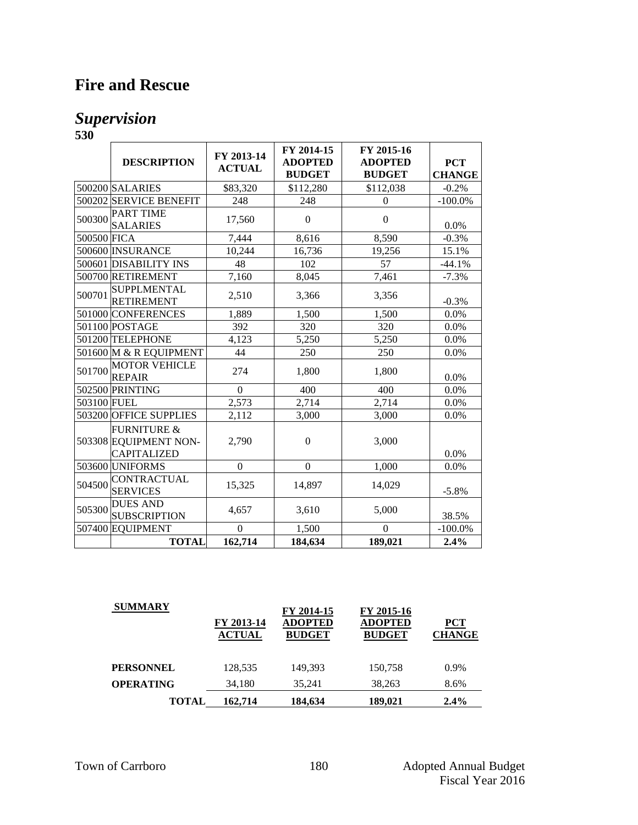## **Fire and Rescue**

### *Supervision*

|             | <b>DESCRIPTION</b>                                                    | FY 2013-14<br><b>ACTUAL</b> | FY 2014-15<br><b>ADOPTED</b><br><b>BUDGET</b> | FY 2015-16<br><b>ADOPTED</b><br><b>BUDGET</b> | <b>PCT</b><br><b>CHANGE</b> |
|-------------|-----------------------------------------------------------------------|-----------------------------|-----------------------------------------------|-----------------------------------------------|-----------------------------|
|             | 500200 SALARIES                                                       | \$83,320                    | \$112,280                                     | \$112,038                                     | $-0.2%$                     |
|             | 500202 SERVICE BENEFIT                                                | 248                         | 248                                           | $\Omega$                                      | $-100.0\%$                  |
| 500300      | <b>PART TIME</b><br><b>SALARIES</b>                                   | 17,560                      | $\boldsymbol{0}$                              | $\overline{0}$                                | 0.0%                        |
| 500500 FICA |                                                                       | 7,444                       | 8,616                                         | 8,590                                         | $-0.3%$                     |
|             | 500600 INSURANCE                                                      | 10,244                      | 16,736                                        | 19,256                                        | 15.1%                       |
|             | 500601 DISABILITY INS                                                 | 48                          | 102                                           | 57                                            | $-44.1%$                    |
|             | 500700 RETIREMENT                                                     | 7,160                       | 8,045                                         | 7,461                                         | $-7.3%$                     |
| 500701      | <b>SUPPLMENTAL</b><br><b>RETIREMENT</b>                               | 2,510                       | 3,366                                         | 3,356                                         | $-0.3%$                     |
|             | 501000 CONFERENCES                                                    | 1,889                       | 1,500                                         | 1,500                                         | 0.0%                        |
|             | 501100 POSTAGE                                                        | 392                         | 320                                           | 320                                           | 0.0%                        |
|             | 501200 TELEPHONE                                                      | 4,123                       | 5,250                                         | 5,250                                         | 0.0%                        |
|             | 501600 M & R EQUIPMENT                                                | 44                          | 250                                           | 250                                           | 0.0%                        |
| 501700      | <b>MOTOR VEHICLE</b><br><b>REPAIR</b>                                 | 274                         | 1,800                                         | 1,800                                         | 0.0%                        |
|             | 502500 PRINTING                                                       | $\overline{0}$              | 400                                           | 400                                           | 0.0%                        |
| 503100 FUEL |                                                                       | 2,573                       | 2,714                                         | 2,714                                         | 0.0%                        |
|             | 503200 OFFICE SUPPLIES                                                | 2,112                       | 3,000                                         | 3,000                                         | 0.0%                        |
|             | <b>FURNITURE &amp;</b><br>503308 EQUIPMENT NON-<br><b>CAPITALIZED</b> | 2,790                       | $\Omega$                                      | 3,000                                         | 0.0%                        |
|             | 503600 UNIFORMS                                                       | $\mathbf{0}$                | $\Omega$                                      | 1,000                                         | 0.0%                        |
| 504500      | <b>CONTRACTUAL</b><br><b>SERVICES</b>                                 | 15,325                      | 14,897                                        | 14,029                                        | $-5.8%$                     |
| 505300      | <b>DUES AND</b><br><b>SUBSCRIPTION</b>                                | 4,657                       | 3,610                                         | 5,000                                         | 38.5%                       |
|             | 507400 EQUIPMENT                                                      | $\theta$                    | 1,500                                         | $\Omega$                                      | $-100.0\%$                  |
|             | <b>TOTAL</b>                                                          | 162,714                     | 184,634                                       | 189,021                                       | 2.4%                        |

| <b>SUMMARY</b>   | FY 2013-14<br><b>ACTUAL</b> | FY 2014-15<br><b>ADOPTED</b><br><b>BUDGET</b> | FY 2015-16<br><b>ADOPTED</b><br><b>BUDGET</b> | <b>PCT</b><br><b>CHANGE</b> |
|------------------|-----------------------------|-----------------------------------------------|-----------------------------------------------|-----------------------------|
| <b>PERSONNEL</b> | 128,535                     | 149,393                                       | 150,758                                       | $0.9\%$                     |
| <b>OPERATING</b> | 34,180                      | 35,241                                        | 38,263                                        | 8.6%                        |
| <b>TOTAL</b>     | 162,714                     | 184,634                                       | 189,021                                       | $2.4\%$                     |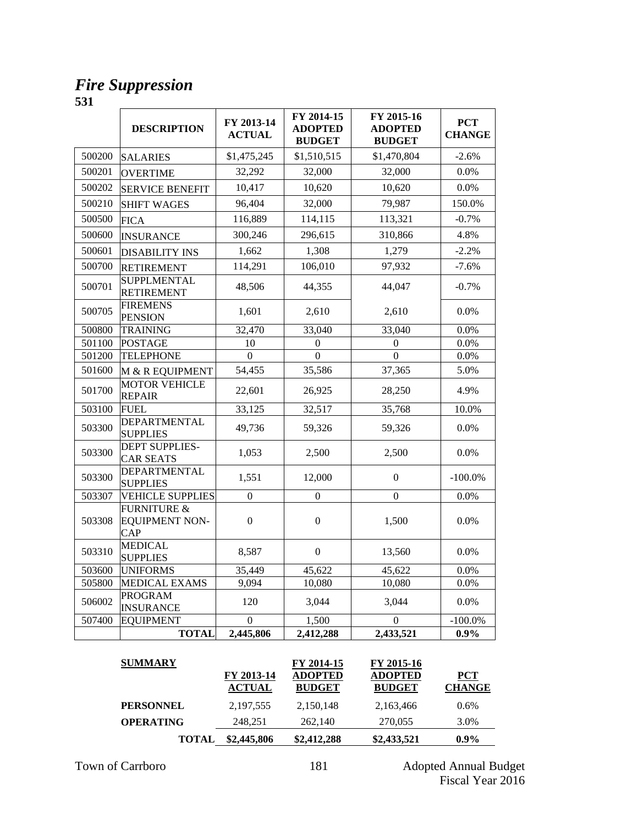### *Fire Suppression*

|        | <b>DESCRIPTION</b>                                     | FY 2013-14<br><b>ACTUAL</b> | FY 2014-15<br><b>ADOPTED</b><br><b>BUDGET</b> | FY 2015-16<br><b>ADOPTED</b><br><b>BUDGET</b> | <b>PCT</b><br><b>CHANGE</b> |
|--------|--------------------------------------------------------|-----------------------------|-----------------------------------------------|-----------------------------------------------|-----------------------------|
| 500200 | <b>SALARIES</b>                                        | \$1,475,245                 | \$1,510,515                                   | \$1,470,804                                   | $-2.6%$                     |
| 500201 | <b>OVERTIME</b>                                        | 32,292                      | 32,000                                        | 32,000                                        | $0.0\%$                     |
| 500202 | <b>SERVICE BENEFIT</b>                                 | 10,417                      | 10,620                                        | 10,620                                        | 0.0%                        |
| 500210 | <b>SHIFT WAGES</b>                                     | 96,404                      | 32,000                                        | 79,987                                        | 150.0%                      |
| 500500 | <b>FICA</b>                                            | 116,889                     | 114,115                                       | 113,321                                       | $-0.7%$                     |
| 500600 | <b>INSURANCE</b>                                       | 300,246                     | 296,615                                       | 310,866                                       | 4.8%                        |
| 500601 | <b>DISABILITY INS</b>                                  | 1,662                       | 1,308                                         | 1,279                                         | $-2.2%$                     |
| 500700 | <b>RETIREMENT</b>                                      | 114,291                     | 106,010                                       | 97,932                                        | $-7.6%$                     |
| 500701 | <b>SUPPLMENTAL</b><br><b>RETIREMENT</b>                | 48,506                      | 44,355                                        | 44,047                                        | $-0.7%$                     |
| 500705 | <b>FIREMENS</b><br><b>PENSION</b>                      | 1,601                       | 2,610                                         | 2,610                                         | 0.0%                        |
| 500800 | <b>TRAINING</b>                                        | 32,470                      | 33,040                                        | 33,040                                        | 0.0%                        |
| 501100 | <b>POSTAGE</b>                                         | 10                          | $\boldsymbol{0}$                              | $\mathbf{0}$                                  | 0.0%                        |
| 501200 | <b>TELEPHONE</b>                                       | $\theta$                    | $\theta$                                      | $\Omega$                                      | 0.0%                        |
| 501600 | M & R EQUIPMENT                                        | 54,455                      | 35,586                                        | 37,365                                        | 5.0%                        |
| 501700 | <b>MOTOR VEHICLE</b><br><b>REPAIR</b>                  | 22,601                      | 26,925                                        | 28,250                                        | 4.9%                        |
| 503100 | <b>FUEL</b>                                            | 33,125                      | 32,517                                        | 35,768                                        | 10.0%                       |
| 503300 | <b>DEPARTMENTAL</b><br><b>SUPPLIES</b>                 | 49,736                      | 59,326                                        | 59,326                                        | 0.0%                        |
| 503300 | <b>DEPT SUPPLIES-</b><br>CAR SEATS                     | 1,053                       | 2,500                                         | 2,500                                         | 0.0%                        |
| 503300 | DEPARTMENTAL<br><b>SUPPLIES</b>                        | 1,551                       | 12,000                                        | $\boldsymbol{0}$                              | $-100.0\%$                  |
| 503307 | <b>VEHICLE SUPPLIES</b>                                | $\overline{0}$              | $\overline{0}$                                | $\boldsymbol{0}$                              | 0.0%                        |
| 503308 | <b>FURNITURE &amp;</b><br><b>EQUIPMENT NON-</b><br>CAP | $\boldsymbol{0}$            | $\boldsymbol{0}$                              | 1,500                                         | 0.0%                        |
| 503310 | <b>MEDICAL</b><br><b>SUPPLIES</b>                      | 8,587                       | $\overline{0}$                                | 13,560                                        | 0.0%                        |
| 503600 | <b>UNIFORMS</b>                                        | 35,449                      | 45,622                                        | 45,622                                        | 0.0%                        |
| 505800 | <b>MEDICAL EXAMS</b>                                   | 9,094                       | 10,080                                        | 10,080                                        | 0.0%                        |
| 506002 | <b>PROGRAM</b><br><b>INSURANCE</b>                     | 120                         | 3,044                                         | 3,044                                         | 0.0%                        |
| 507400 | <b>EQUIPMENT</b>                                       | $\overline{0}$              | 1,500                                         | $\theta$                                      | $-100.0\%$                  |
|        | <b>TOTAL</b>                                           | 2,445,806                   | 2,412,288                                     | 2,433,521                                     | 0.9%                        |

| <b>SUMMARY</b>   | FY 2013-14<br><b>ACTUAL</b> | FY 2014-15<br><b>ADOPTED</b><br><b>BUDGET</b> | FY 2015-16<br><b>ADOPTED</b><br><b>BUDGET</b> | <b>PCT</b><br><b>CHANGE</b> |
|------------------|-----------------------------|-----------------------------------------------|-----------------------------------------------|-----------------------------|
| <b>PERSONNEL</b> | 2, 197, 555                 | 2,150,148                                     | 2,163,466                                     | $0.6\%$                     |
| <b>OPERATING</b> | 248,251                     | 262,140                                       | 270,055                                       | 3.0%                        |
| <b>TOTAL</b>     | \$2,445,806                 | \$2,412,288                                   | \$2,433,521                                   | $0.9\%$                     |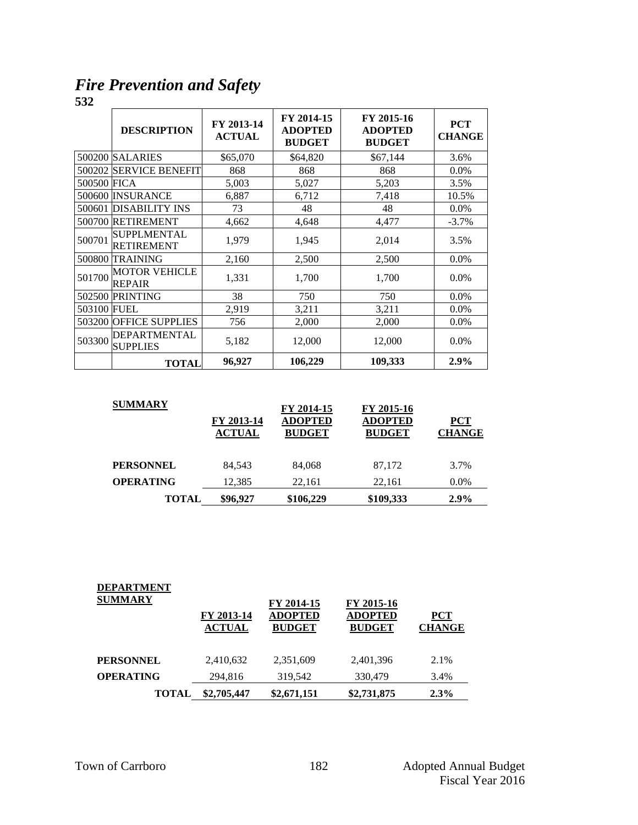*Fire Prevention and Safety*

|             | <b>DESCRIPTION</b>                      | FY 2013-14<br><b>ACTUAL</b> | FY 2014-15<br><b>ADOPTED</b><br><b>BUDGET</b> | FY 2015-16<br><b>ADOPTED</b><br><b>BUDGET</b> | <b>PCT</b><br><b>CHANGE</b> |
|-------------|-----------------------------------------|-----------------------------|-----------------------------------------------|-----------------------------------------------|-----------------------------|
|             | 500200 SALARIES                         | \$65,070                    | \$64,820                                      | \$67,144                                      | 3.6%                        |
|             | 500202 SERVICE BENEFIT                  | 868                         | 868                                           | 868                                           | $0.0\%$                     |
| 500500 FICA |                                         | 5,003                       | 5,027                                         | 5,203                                         | 3.5%                        |
|             | 500600 INSURANCE                        | 6,887                       | 6,712                                         | 7,418                                         | 10.5%                       |
| 500601      | <b>DISABILITY INS</b>                   | 73                          | 48                                            | 48                                            | 0.0%                        |
|             | 500700 RETIREMENT                       | 4,662                       | 4,648                                         | 4,477                                         | $-3.7\%$                    |
| 500701      | <b>SUPPLMENTAL</b><br><b>RETIREMENT</b> | 1,979                       | 1,945                                         | 2,014                                         | 3.5%                        |
| 500800      | <b>TRAINING</b>                         | 2,160                       | 2,500                                         | 2,500                                         | 0.0%                        |
| 501700      | <b>MOTOR VEHICLE</b><br><b>REPAIR</b>   | 1,331                       | 1,700                                         | 1,700                                         | $0.0\%$                     |
| 502500      | <b>PRINTING</b>                         | 38                          | 750                                           | 750                                           | 0.0%                        |
| 503100 FUEL |                                         | 2,919                       | 3,211                                         | 3,211                                         | 0.0%                        |
| 503200      | <b>OFFICE SUPPLIES</b>                  | 756                         | 2,000                                         | 2,000                                         | 0.0%                        |
| 503300      | <b>DEPARTMENTAL</b><br><b>SUPPLIES</b>  | 5,182                       | 12,000                                        | 12,000                                        | 0.0%                        |
|             | <b>TOTAL</b>                            | 96,927                      | 106,229                                       | 109,333                                       | 2.9%                        |

| <b>SUMMARY</b>   | FY 2013-14<br><b>ACTUAL</b> | FY 2014-15<br><b>ADOPTED</b><br><b>BUDGET</b> | FY 2015-16<br><b>ADOPTED</b><br><b>BUDGET</b> | <b>PCT</b><br><b>CHANGE</b> |
|------------------|-----------------------------|-----------------------------------------------|-----------------------------------------------|-----------------------------|
| <b>PERSONNEL</b> | 84.543                      | 84.068                                        | 87,172                                        | 3.7%                        |
| <b>OPERATING</b> | 12.385                      | 22.161                                        | 22.161                                        | $0.0\%$                     |
| <b>TOTAL</b>     | \$96,927                    | \$106,229                                     | \$109,333                                     | $2.9\%$                     |

| <b>DEPARTMENT</b><br><b>SUMMARY</b> | FY 2013-14    | FY 2014-15<br><b>ADOPTED</b> | FY 2015-16<br><b>ADOPTED</b> | <b>PCT</b>    |
|-------------------------------------|---------------|------------------------------|------------------------------|---------------|
|                                     | <b>ACTUAL</b> | <b>BUDGET</b>                | <b>BUDGET</b>                | <b>CHANGE</b> |
| <b>PERSONNEL</b>                    | 2,410,632     | 2,351,609                    | 2,401,396                    | 2.1%          |
| <b>OPERATING</b>                    | 294,816       | 319,542                      | 330,479                      | 3.4%          |
| <b>TOTAL</b>                        | \$2,705,447   | \$2,671,151                  | \$2,731,875                  | 2.3%          |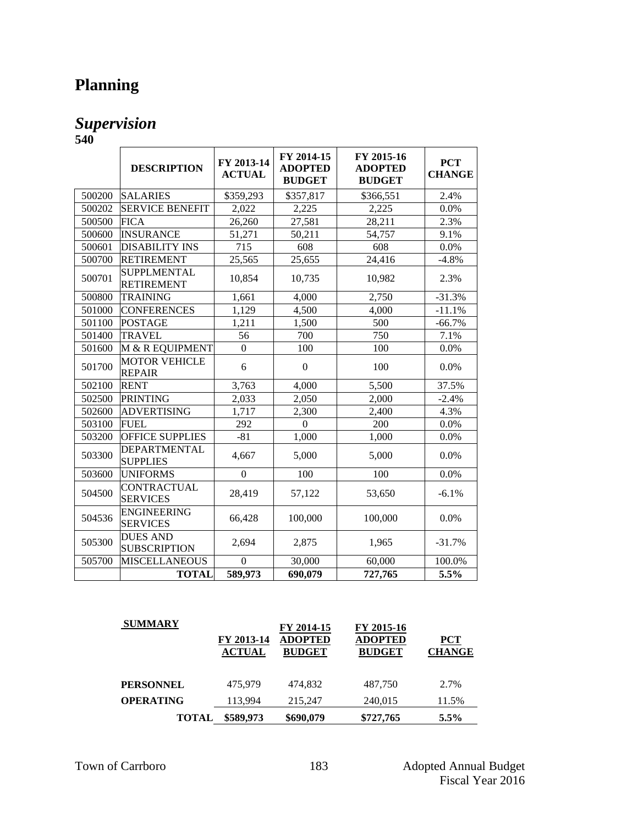# **Planning**

### *Supervision*

| 540    |                                         |                             |                                               |                                               |                             |
|--------|-----------------------------------------|-----------------------------|-----------------------------------------------|-----------------------------------------------|-----------------------------|
|        | <b>DESCRIPTION</b>                      | FY 2013-14<br><b>ACTUAL</b> | FY 2014-15<br><b>ADOPTED</b><br><b>BUDGET</b> | FY 2015-16<br><b>ADOPTED</b><br><b>BUDGET</b> | <b>PCT</b><br><b>CHANGE</b> |
| 500200 | <b>SALARIES</b>                         | \$359,293                   | \$357,817                                     | \$366,551                                     | 2.4%                        |
| 500202 | <b>SERVICE BENEFIT</b>                  | 2,022                       | 2,225                                         | 2,225                                         | 0.0%                        |
| 500500 | <b>FICA</b>                             | 26,260                      | 27,581                                        | 28,211                                        | 2.3%                        |
| 500600 | <b>INSURANCE</b>                        | 51,271                      | 50,211                                        | 54,757                                        | 9.1%                        |
| 500601 | <b>DISABILITY INS</b>                   | 715                         | 608                                           | 608                                           | 0.0%                        |
| 500700 | <b>RETIREMENT</b>                       | 25,565                      | 25,655                                        | 24,416                                        | $-4.8%$                     |
| 500701 | <b>SUPPLMENTAL</b><br><b>RETIREMENT</b> | 10,854                      | 10,735                                        | 10,982                                        | 2.3%                        |
| 500800 | <b>TRAINING</b>                         | 1,661                       | 4.000                                         | 2,750                                         | $-31.3%$                    |
| 501000 | <b>CONFERENCES</b>                      | 1,129                       | 4,500                                         | 4,000                                         | $-11.1%$                    |
| 501100 | <b>POSTAGE</b>                          | 1,211                       | 1,500                                         | 500                                           | $-66.7%$                    |
| 501400 | <b>TRAVEL</b>                           | 56                          | 700                                           | 750                                           | 7.1%                        |
| 501600 | M & R EQUIPMENT                         | $\Omega$                    | 100                                           | 100                                           | 0.0%                        |
| 501700 | <b>MOTOR VEHICLE</b><br><b>REPAIR</b>   | 6                           | $\boldsymbol{0}$                              | 100                                           | 0.0%                        |
| 502100 | <b>RENT</b>                             | 3,763                       | 4,000                                         | 5,500                                         | 37.5%                       |
| 502500 | <b>PRINTING</b>                         | 2,033                       | 2,050                                         | 2,000                                         | $-2.4%$                     |
| 502600 | <b>ADVERTISING</b>                      | 1,717                       | 2,300                                         | 2,400                                         | 4.3%                        |
| 503100 | <b>FUEL</b>                             | 292                         | $\Omega$                                      | 200                                           | 0.0%                        |
| 503200 | <b>OFFICE SUPPLIES</b>                  | $-81$                       | 1,000                                         | 1,000                                         | 0.0%                        |
| 503300 | <b>DEPARTMENTAL</b><br><b>SUPPLIES</b>  | 4,667                       | 5,000                                         | 5,000                                         | 0.0%                        |
| 503600 | <b>UNIFORMS</b>                         | $\boldsymbol{0}$            | 100                                           | 100                                           | 0.0%                        |
| 504500 | <b>CONTRACTUAL</b><br><b>SERVICES</b>   | 28,419                      | 57,122                                        | 53,650                                        | $-6.1%$                     |
| 504536 | <b>ENGINEERING</b><br><b>SERVICES</b>   | 66,428                      | 100,000                                       | 100,000                                       | 0.0%                        |
| 505300 | <b>DUES AND</b><br><b>SUBSCRIPTION</b>  | 2,694                       | 2,875                                         | 1,965                                         | $-31.7%$                    |
| 505700 | <b>MISCELLANEOUS</b>                    | $\Omega$                    | 30,000                                        | 60,000                                        | 100.0%                      |
|        | <b>TOTAL</b>                            | 589,973                     | 690,079                                       | 727,765                                       | 5.5%                        |

| <b>SUMMARY</b>   | FY 2013-14<br><b>ACTUAL</b> | FY 2014-15<br><b>ADOPTED</b><br><b>BUDGET</b> | FY 2015-16<br><b>ADOPTED</b><br><b>BUDGET</b> | <b>PCT</b><br><b>CHANGE</b> |
|------------------|-----------------------------|-----------------------------------------------|-----------------------------------------------|-----------------------------|
| <b>PERSONNEL</b> | 475.979                     | 474.832                                       | 487,750                                       | 2.7%                        |
| <b>OPERATING</b> | 113,994                     | 215,247                                       | 240,015                                       | 11.5%                       |
| <b>TOTAL</b>     | \$589,973                   | \$690,079                                     | \$727,765                                     | $5.5\%$                     |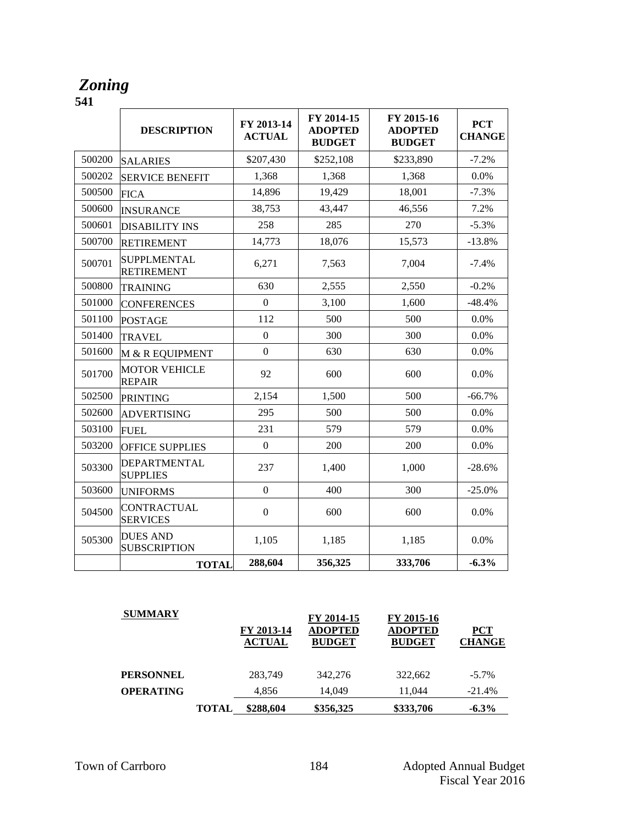### *Zoning*

|        | <b>DESCRIPTION</b>                      | FY 2013-14<br><b>ACTUAL</b> | FY 2014-15<br><b>ADOPTED</b><br><b>BUDGET</b> | FY 2015-16<br><b>ADOPTED</b><br><b>BUDGET</b> | <b>PCT</b><br><b>CHANGE</b> |
|--------|-----------------------------------------|-----------------------------|-----------------------------------------------|-----------------------------------------------|-----------------------------|
| 500200 | <b>SALARIES</b>                         | \$207,430                   | \$252,108                                     | \$233,890                                     | $-7.2%$                     |
| 500202 | <b>SERVICE BENEFIT</b>                  | 1,368                       | 1,368                                         | 1,368                                         | 0.0%                        |
| 500500 | <b>FICA</b>                             | 14,896                      | 19,429                                        | 18,001                                        | $-7.3%$                     |
| 500600 | <b>INSURANCE</b>                        | 38,753                      | 43,447                                        | 46,556                                        | 7.2%                        |
| 500601 | <b>DISABILITY INS</b>                   | 258                         | 285                                           | 270                                           | $-5.3%$                     |
| 500700 | <b>RETIREMENT</b>                       | 14,773                      | 18,076                                        | 15,573                                        | $-13.8%$                    |
| 500701 | <b>SUPPLMENTAL</b><br><b>RETIREMENT</b> | 6,271                       | 7,563                                         | 7,004                                         | $-7.4%$                     |
| 500800 | <b>TRAINING</b>                         | 630                         | 2,555                                         | 2,550                                         | $-0.2%$                     |
| 501000 | <b>CONFERENCES</b>                      | $\overline{0}$              | 3,100                                         | 1,600                                         | $-48.4%$                    |
| 501100 | <b>POSTAGE</b>                          | 112                         | 500                                           | 500                                           | 0.0%                        |
| 501400 | <b>TRAVEL</b>                           | $\boldsymbol{0}$            | 300                                           | 300                                           | 0.0%                        |
| 501600 | M & R EQUIPMENT                         | $\Omega$                    | 630                                           | 630                                           | 0.0%                        |
| 501700 | <b>MOTOR VEHICLE</b><br><b>REPAIR</b>   | 92                          | 600                                           | 600                                           | 0.0%                        |
| 502500 | <b>PRINTING</b>                         | 2,154                       | 1,500                                         | 500                                           | $-66.7%$                    |
| 502600 | <b>ADVERTISING</b>                      | 295                         | 500                                           | 500                                           | 0.0%                        |
| 503100 | <b>FUEL</b>                             | 231                         | 579                                           | 579                                           | 0.0%                        |
| 503200 | <b>OFFICE SUPPLIES</b>                  | $\overline{0}$              | 200                                           | 200                                           | 0.0%                        |
| 503300 | <b>DEPARTMENTAL</b><br><b>SUPPLIES</b>  | 237                         | 1,400                                         | 1,000                                         | $-28.6%$                    |
| 503600 | <b>UNIFORMS</b>                         | $\mathbf{0}$                | 400                                           | 300                                           | $-25.0%$                    |
| 504500 | <b>CONTRACTUAL</b><br><b>SERVICES</b>   | $\boldsymbol{0}$            | 600                                           | 600                                           | 0.0%                        |
| 505300 | <b>DUES AND</b><br><b>SUBSCRIPTION</b>  | 1,105                       | 1,185                                         | 1,185                                         | 0.0%                        |
|        | <b>TOTAL</b>                            | 288,604                     | 356,325                                       | 333,706                                       | $-6.3%$                     |

| <b>SUMMARY</b>   |              | FY 2013-14<br><b>ACTUAL</b> | FY 2014-15<br><b>ADOPTED</b><br><b>BUDGET</b> | FY 2015-16<br><b>ADOPTED</b><br><b>BUDGET</b> | <b>PCT</b><br><b>CHANGE</b> |
|------------------|--------------|-----------------------------|-----------------------------------------------|-----------------------------------------------|-----------------------------|
| <b>PERSONNEL</b> |              | 283,749                     | 342,276                                       | 322.662                                       | $-5.7\%$                    |
| <b>OPERATING</b> |              | 4,856                       | 14.049                                        | 11.044                                        | $-21.4%$                    |
|                  | <b>TOTAL</b> | \$288.604                   | \$356,325                                     | \$333,706                                     | $-6.3\%$                    |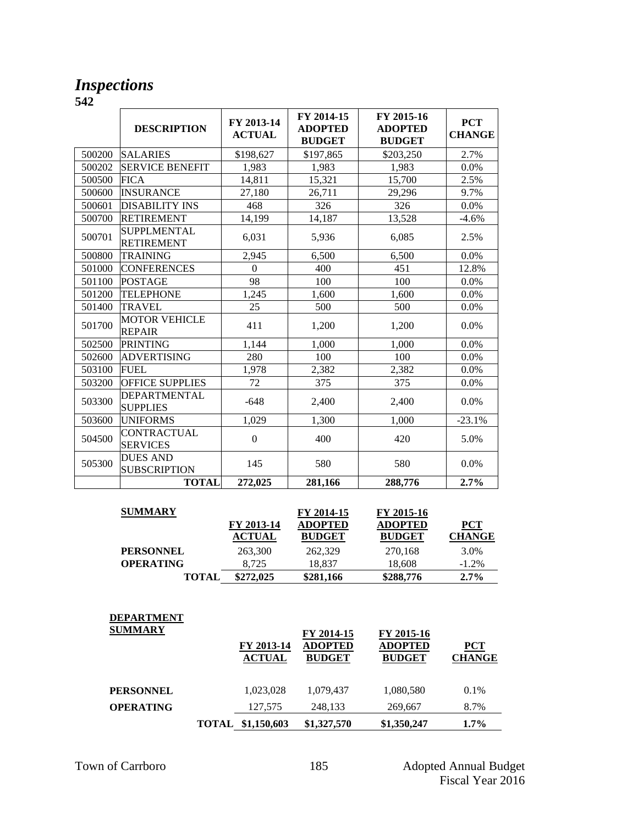### *Inspections*

|        | <b>DESCRIPTION</b>                     | FY 2013-14<br><b>ACTUAL</b> | FY 2014-15<br><b>ADOPTED</b><br><b>BUDGET</b> | FY 2015-16<br><b>ADOPTED</b><br><b>BUDGET</b> | <b>PCT</b><br><b>CHANGE</b> |
|--------|----------------------------------------|-----------------------------|-----------------------------------------------|-----------------------------------------------|-----------------------------|
| 500200 | <b>SALARIES</b>                        | \$198,627                   | \$197,865                                     | \$203,250                                     | 2.7%                        |
| 500202 | <b>SERVICE BENEFIT</b>                 | 1,983                       | 1,983                                         | 1,983                                         | 0.0%                        |
| 500500 | <b>FICA</b>                            | 14,811                      | 15,321                                        | 15,700                                        | 2.5%                        |
| 500600 | <b>INSURANCE</b>                       | 27,180                      | 26,711                                        | 29,296                                        | 9.7%                        |
| 500601 | <b>DISABILITY INS</b>                  | 468                         | 326                                           | 326                                           | 0.0%                        |
| 500700 | <b>RETIREMENT</b>                      | 14,199                      | 14,187                                        | 13,528                                        | $-4.6%$                     |
| 500701 | SUPPLMENTAL<br><b>RETIREMENT</b>       | 6,031                       | 5,936                                         | 6,085                                         | 2.5%                        |
| 500800 | <b>TRAINING</b>                        | 2,945                       | 6,500                                         | 6,500                                         | 0.0%                        |
| 501000 | <b>CONFERENCES</b>                     | $\Omega$                    | 400                                           | 451                                           | 12.8%                       |
| 501100 | <b>POSTAGE</b>                         | 98                          | 100                                           | 100                                           | 0.0%                        |
| 501200 | <b>TELEPHONE</b>                       | 1,245                       | 1,600                                         | 1,600                                         | 0.0%                        |
| 501400 | <b>TRAVEL</b>                          | 25                          | 500                                           | 500                                           | 0.0%                        |
| 501700 | <b>MOTOR VEHICLE</b><br><b>REPAIR</b>  | 411                         | 1,200                                         | 1,200                                         | 0.0%                        |
| 502500 | <b>PRINTING</b>                        | 1,144                       | 1,000                                         | 1,000                                         | 0.0%                        |
| 502600 | <b>ADVERTISING</b>                     | 280                         | 100                                           | 100                                           | 0.0%                        |
| 503100 | <b>FUEL</b>                            | 1,978                       | 2,382                                         | 2,382                                         | 0.0%                        |
| 503200 | <b>OFFICE SUPPLIES</b>                 | 72                          | 375                                           | 375                                           | 0.0%                        |
| 503300 | <b>DEPARTMENTAL</b><br><b>SUPPLIES</b> | $-648$                      | 2,400                                         | 2,400                                         | 0.0%                        |
| 503600 | <b>UNIFORMS</b>                        | 1,029                       | 1,300                                         | 1,000                                         | $-23.1%$                    |
| 504500 | CONTRACTUAL<br><b>SERVICES</b>         | $\overline{0}$              | 400                                           | 420                                           | 5.0%                        |
| 505300 | <b>DUES AND</b><br><b>SUBSCRIPTION</b> | 145                         | 580                                           | 580                                           | 0.0%                        |
|        | <b>TOTAL</b>                           | 272,025                     | 281,166                                       | 288,776                                       | 2.7%                        |

| <b>SUMMARY</b>   |                             | FY 2014-15                      | FY 2015-16                      |                             |
|------------------|-----------------------------|---------------------------------|---------------------------------|-----------------------------|
|                  | FY 2013-14<br><b>ACTUAL</b> | <b>ADOPTED</b><br><b>BUDGET</b> | <b>ADOPTED</b><br><b>BUDGET</b> | <b>PCT</b><br><b>CHANGE</b> |
|                  |                             |                                 |                                 |                             |
| <b>PERSONNEL</b> | 263,300                     | 262,329                         | 270,168                         | 3.0%                        |
| <b>OPERATING</b> | 8.725                       | 18.837                          | 18.608                          | $-1.2\%$                    |
| <b>TOTAL</b>     | \$272,025                   | \$281,166                       | \$288,776                       | $2.7\%$                     |

| <b>DEPARTMENT</b> |  |
|-------------------|--|
| SUMMARY           |  |
|                   |  |

| <b>SUMMARY</b>   | FY 2013-14<br><b>ACTUAL</b> | FY 2014-15<br><b>ADOPTED</b><br><b>BUDGET</b> | FY 2015-16<br><b>ADOPTED</b><br><b>BUDGET</b> | <b>PCT</b><br><b>CHANGE</b> |
|------------------|-----------------------------|-----------------------------------------------|-----------------------------------------------|-----------------------------|
| <b>PERSONNEL</b> | 1,023,028                   | 1,079,437                                     | 1,080,580                                     | 0.1%                        |
| <b>OPERATING</b> | 127,575                     | 248,133                                       | 269,667                                       | 8.7%                        |
|                  | TOTAL \$1,150,603           | \$1,327,570                                   | \$1,350,247                                   | $1.7\%$                     |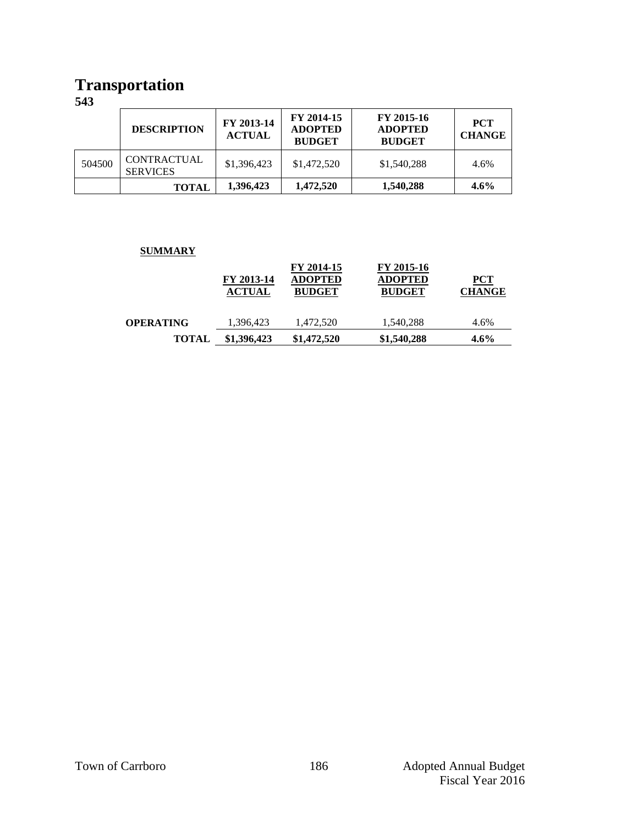### **Transportation**

**543**

|        | <b>DESCRIPTION</b>                    | FY 2013-14<br><b>ACTUAL</b> | FY 2014-15<br><b>ADOPTED</b><br><b>BUDGET</b> | FY 2015-16<br><b>ADOPTED</b><br><b>BUDGET</b> | <b>PCT</b><br><b>CHANGE</b> |
|--------|---------------------------------------|-----------------------------|-----------------------------------------------|-----------------------------------------------|-----------------------------|
| 504500 | <b>CONTRACTUAL</b><br><b>SERVICES</b> | \$1,396,423                 | \$1,472,520                                   | \$1,540,288                                   | 4.6%                        |
|        | <b>TOTAL</b>                          | 1,396,423                   | 1,472,520                                     | 1,540,288                                     | $4.6\%$                     |

#### **SUMMARY**

|                  | FY 2013-14<br><b>ACTUAL</b> | FY 2014-15<br><b>ADOPTED</b><br><b>BUDGET</b> | FY 2015-16<br><b>ADOPTED</b><br><b>BUDGET</b> | $PCT$<br><b>CHANGE</b> |
|------------------|-----------------------------|-----------------------------------------------|-----------------------------------------------|------------------------|
| <b>OPERATING</b> | 1,396,423                   | 1,472,520                                     | 1,540,288                                     | 4.6%                   |
| <b>TOTAL</b>     | \$1,396,423                 | \$1,472,520                                   | \$1,540,288                                   | $4.6\%$                |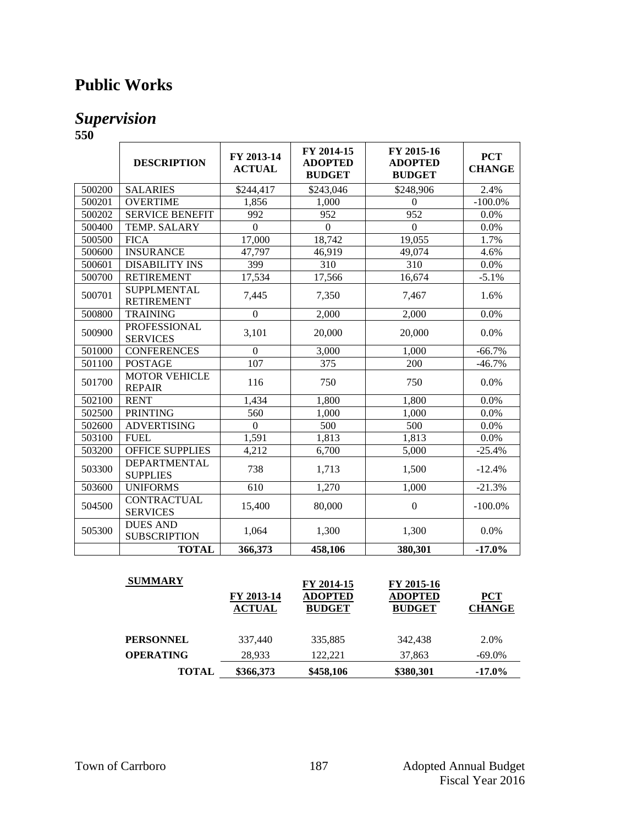### **Public Works**

### *Supervision*

|        | <b>DESCRIPTION</b>                      | FY 2013-14<br><b>ACTUAL</b> | FY 2014-15<br><b>ADOPTED</b><br><b>BUDGET</b> | FY 2015-16<br><b>ADOPTED</b><br><b>BUDGET</b> | <b>PCT</b><br><b>CHANGE</b> |
|--------|-----------------------------------------|-----------------------------|-----------------------------------------------|-----------------------------------------------|-----------------------------|
| 500200 | <b>SALARIES</b>                         | \$244,417                   | \$243,046                                     | \$248,906                                     | 2.4%                        |
| 500201 | <b>OVERTIME</b>                         | 1,856                       | 1,000                                         | $\Omega$                                      | $-100.0\%$                  |
| 500202 | <b>SERVICE BENEFIT</b>                  | 992                         | 952                                           | 952                                           | 0.0%                        |
| 500400 | TEMP. SALARY                            | $\theta$                    | $\Omega$                                      | $\Omega$                                      | 0.0%                        |
| 500500 | <b>FICA</b>                             | 17,000                      | 18,742                                        | 19,055                                        | 1.7%                        |
| 500600 | <b>INSURANCE</b>                        | 47,797                      | 46,919                                        | 49,074                                        | 4.6%                        |
| 500601 | <b>DISABILITY INS</b>                   | 399                         | 310                                           | 310                                           | 0.0%                        |
| 500700 | <b>RETIREMENT</b>                       | 17,534                      | 17,566                                        | 16,674                                        | $-5.1%$                     |
| 500701 | <b>SUPPLMENTAL</b><br><b>RETIREMENT</b> | 7,445                       | 7,350                                         | 7,467                                         | 1.6%                        |
| 500800 | <b>TRAINING</b>                         | $\boldsymbol{0}$            | 2,000                                         | 2,000                                         | 0.0%                        |
| 500900 | <b>PROFESSIONAL</b><br><b>SERVICES</b>  | 3,101                       | 20,000                                        | 20,000                                        | 0.0%                        |
| 501000 | <b>CONFERENCES</b>                      | $\overline{0}$              | 3,000                                         | 1,000                                         | $-66.7%$                    |
| 501100 | <b>POSTAGE</b>                          | 107                         | 375                                           | 200                                           | $-46.7%$                    |
| 501700 | <b>MOTOR VEHICLE</b><br><b>REPAIR</b>   | 116                         | 750                                           | 750                                           | 0.0%                        |
| 502100 | <b>RENT</b>                             | 1,434                       | 1,800                                         | 1,800                                         | 0.0%                        |
| 502500 | <b>PRINTING</b>                         | 560                         | 1,000                                         | 1,000                                         | 0.0%                        |
| 502600 | <b>ADVERTISING</b>                      | $\Omega$                    | 500                                           | 500                                           | 0.0%                        |
| 503100 | <b>FUEL</b>                             | 1,591                       | 1,813                                         | 1,813                                         | 0.0%                        |
| 503200 | <b>OFFICE SUPPLIES</b>                  | 4,212                       | 6,700                                         | 5,000                                         | $-25.4%$                    |
| 503300 | DEPARTMENTAL<br><b>SUPPLIES</b>         | 738                         | 1,713                                         | 1,500                                         | $-12.4%$                    |
| 503600 | <b>UNIFORMS</b>                         | 610                         | 1,270                                         | 1,000                                         | $-21.3%$                    |
| 504500 | <b>CONTRACTUAL</b><br><b>SERVICES</b>   | 15,400                      | 80,000                                        | $\boldsymbol{0}$                              | $-100.0\%$                  |
| 505300 | <b>DUES AND</b><br><b>SUBSCRIPTION</b>  | 1,064                       | 1,300                                         | 1,300                                         | 0.0%                        |
|        | <b>TOTAL</b>                            | 366,373                     | 458,106                                       | 380,301                                       | $-17.0%$                    |

| <b>SUMMARY</b>   | FY 2013-14<br><b>ACTUAL</b> | FY 2014-15<br><b>ADOPTED</b><br><b>BUDGET</b> | FY 2015-16<br><b>ADOPTED</b><br><b>BUDGET</b> | PCT<br><b>CHANGE</b> |
|------------------|-----------------------------|-----------------------------------------------|-----------------------------------------------|----------------------|
| <b>PERSONNEL</b> | 337,440                     | 335,885                                       | 342,438                                       | 2.0%                 |
| <b>OPERATING</b> | 28.933                      | 122.221                                       | 37,863                                        | $-69.0\%$            |
| <b>TOTAL</b>     | \$366,373                   | \$458,106                                     | \$380,301                                     | $-17.0\%$            |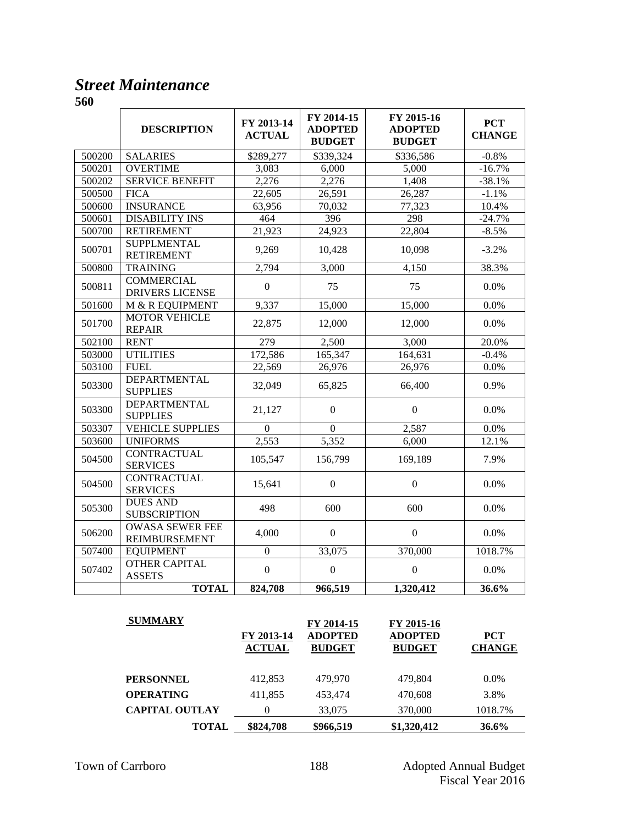### *Street Maintenance*

|        | <b>DESCRIPTION</b>                             | FY 2013-14<br><b>ACTUAL</b> | FY 2014-15<br><b>ADOPTED</b><br><b>BUDGET</b> | FY 2015-16<br><b>ADOPTED</b><br><b>BUDGET</b> | <b>PCT</b><br><b>CHANGE</b> |
|--------|------------------------------------------------|-----------------------------|-----------------------------------------------|-----------------------------------------------|-----------------------------|
| 500200 | <b>SALARIES</b>                                | \$289,277                   | \$339,324                                     | \$336,586                                     | $-0.8%$                     |
| 500201 | <b>OVERTIME</b>                                | 3,083                       | 6,000                                         | 5,000                                         | $-16.7%$                    |
| 500202 | <b>SERVICE BENEFIT</b>                         | 2,276                       | 2,276                                         | 1,408                                         | $-38.1%$                    |
| 500500 | <b>FICA</b>                                    | 22,605                      | 26,591                                        | 26,287                                        | $-1.1%$                     |
| 500600 | <b>INSURANCE</b>                               | 63,956                      | 70,032                                        | 77,323                                        | 10.4%                       |
| 500601 | <b>DISABILITY INS</b>                          | 464                         | 396                                           | 298                                           | $-24.7%$                    |
| 500700 | <b>RETIREMENT</b>                              | 21,923                      | 24,923                                        | 22,804                                        | $-8.5%$                     |
| 500701 | <b>SUPPLMENTAL</b><br><b>RETIREMENT</b>        | 9,269                       | 10,428                                        | 10,098                                        | $-3.2%$                     |
| 500800 | <b>TRAINING</b>                                | 2,794                       | 3,000                                         | 4,150                                         | 38.3%                       |
| 500811 | <b>COMMERCIAL</b><br><b>DRIVERS LICENSE</b>    | $\boldsymbol{0}$            | 75                                            | 75                                            | 0.0%                        |
| 501600 | M & R EQUIPMENT                                | 9,337                       | 15,000                                        | 15,000                                        | 0.0%                        |
| 501700 | <b>MOTOR VEHICLE</b><br><b>REPAIR</b>          | 22,875                      | 12,000                                        | 12,000                                        | 0.0%                        |
| 502100 | <b>RENT</b>                                    | 279                         | 2,500                                         | 3,000                                         | 20.0%                       |
| 503000 | <b>UTILITIES</b>                               | 172,586                     | 165,347                                       | 164,631                                       | $-0.4%$                     |
| 503100 | <b>FUEL</b>                                    | 22,569                      | 26,976                                        | 26,976                                        | 0.0%                        |
| 503300 | <b>DEPARTMENTAL</b><br><b>SUPPLIES</b>         | 32,049                      | 65,825                                        | 66,400                                        | 0.9%                        |
| 503300 | <b>DEPARTMENTAL</b><br><b>SUPPLIES</b>         | 21,127                      | $\boldsymbol{0}$                              | $\boldsymbol{0}$                              | 0.0%                        |
| 503307 | <b>VEHICLE SUPPLIES</b>                        | $\Omega$                    | $\Omega$                                      | 2,587                                         | 0.0%                        |
| 503600 | <b>UNIFORMS</b>                                | 2,553                       | 5,352                                         | 6,000                                         | 12.1%                       |
| 504500 | <b>CONTRACTUAL</b><br><b>SERVICES</b>          | 105,547                     | 156,799                                       | 169,189                                       | 7.9%                        |
| 504500 | <b>CONTRACTUAL</b><br><b>SERVICES</b>          | 15,641                      | $\boldsymbol{0}$                              | $\boldsymbol{0}$                              | 0.0%                        |
| 505300 | <b>DUES AND</b><br><b>SUBSCRIPTION</b>         | 498                         | 600                                           | 600                                           | 0.0%                        |
| 506200 | <b>OWASA SEWER FEE</b><br><b>REIMBURSEMENT</b> | 4,000                       | $\Omega$                                      | $\Omega$                                      | 0.0%                        |
| 507400 | <b>EQUIPMENT</b>                               | $\boldsymbol{0}$            | 33,075                                        | 370,000                                       | 1018.7%                     |
| 507402 | <b>OTHER CAPITAL</b><br><b>ASSETS</b>          | $\overline{0}$              | $\overline{0}$                                | $\boldsymbol{0}$                              | 0.0%                        |
|        | <b>TOTAL</b>                                   | 824,708                     | 966,519                                       | 1,320,412                                     | 36.6%                       |

| <b>SUMMARY</b>        | FY 2013-14<br><b>ACTUAL</b> | FY 2014-15<br><b>ADOPTED</b><br><b>BUDGET</b> | FY 2015-16<br><b>ADOPTED</b><br><b>BUDGET</b> | <b>PCT</b><br><b>CHANGE</b> |
|-----------------------|-----------------------------|-----------------------------------------------|-----------------------------------------------|-----------------------------|
| <b>PERSONNEL</b>      | 412,853                     | 479,970                                       | 479,804                                       | $0.0\%$                     |
| <b>OPERATING</b>      | 411,855                     | 453.474                                       | 470,608                                       | 3.8%                        |
| <b>CAPITAL OUTLAY</b> | 0                           | 33,075                                        | 370,000                                       | 1018.7%                     |
| <b>TOTAL</b>          | \$824,708                   | \$966,519                                     | \$1,320,412                                   | 36.6%                       |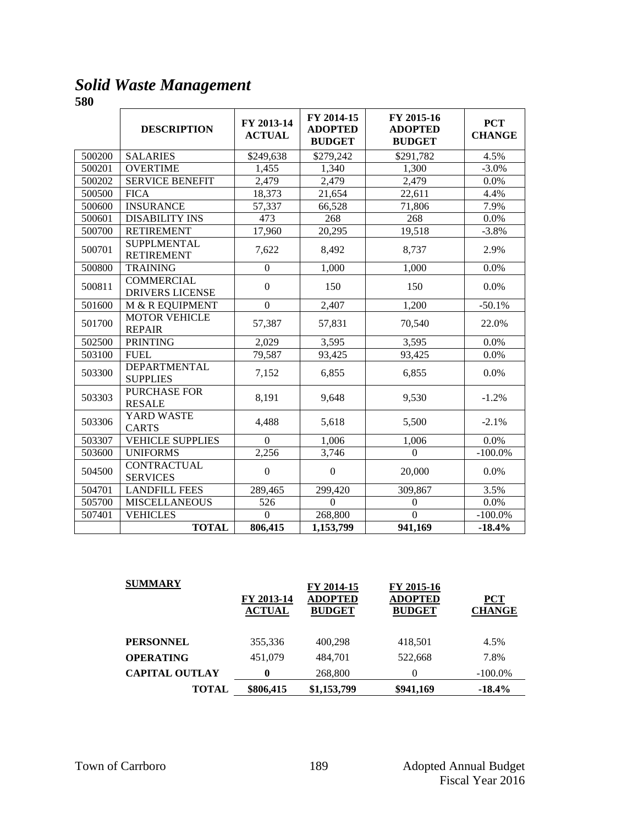*Solid Waste Management*

|        | <b>DESCRIPTION</b>                          | FY 2013-14<br><b>ACTUAL</b> | FY 2014-15<br><b>ADOPTED</b><br><b>BUDGET</b> | FY 2015-16<br><b>ADOPTED</b><br><b>BUDGET</b> | <b>PCT</b><br><b>CHANGE</b> |
|--------|---------------------------------------------|-----------------------------|-----------------------------------------------|-----------------------------------------------|-----------------------------|
| 500200 | <b>SALARIES</b>                             | \$249,638                   | \$279,242                                     | \$291,782                                     | 4.5%                        |
| 500201 | <b>OVERTIME</b>                             | 1,455                       | 1,340                                         | 1,300                                         | $-3.0\%$                    |
| 500202 | <b>SERVICE BENEFIT</b>                      | 2,479                       | 2,479                                         | 2,479                                         | 0.0%                        |
| 500500 | <b>FICA</b>                                 | 18,373                      | 21,654                                        | 22,611                                        | 4.4%                        |
| 500600 | <b>INSURANCE</b>                            | 57,337                      | 66,528                                        | 71,806                                        | 7.9%                        |
| 500601 | <b>DISABILITY INS</b>                       | 473                         | 268                                           | 268                                           | 0.0%                        |
| 500700 | <b>RETIREMENT</b>                           | 17,960                      | 20,295                                        | 19,518                                        | $-3.8%$                     |
| 500701 | <b>SUPPLMENTAL</b><br><b>RETIREMENT</b>     | 7,622                       | 8,492                                         | 8,737                                         | 2.9%                        |
| 500800 | <b>TRAINING</b>                             | $\boldsymbol{0}$            | 1,000                                         | 1,000                                         | 0.0%                        |
| 500811 | <b>COMMERCIAL</b><br><b>DRIVERS LICENSE</b> | $\boldsymbol{0}$            | 150                                           | 150                                           | 0.0%                        |
| 501600 | M & R EQUIPMENT                             | $\boldsymbol{0}$            | 2,407                                         | 1,200                                         | $-50.1%$                    |
| 501700 | <b>MOTOR VEHICLE</b><br><b>REPAIR</b>       | 57,387                      | 57,831                                        | 70,540                                        | 22.0%                       |
| 502500 | <b>PRINTING</b>                             | 2,029                       | 3,595                                         | 3,595                                         | 0.0%                        |
| 503100 | <b>FUEL</b>                                 | 79,587                      | 93,425                                        | 93,425                                        | 0.0%                        |
| 503300 | <b>DEPARTMENTAL</b><br><b>SUPPLIES</b>      | 7,152                       | 6,855                                         | 6,855                                         | 0.0%                        |
| 503303 | PURCHASE FOR<br><b>RESALE</b>               | 8,191                       | 9,648                                         | 9,530                                         | $-1.2%$                     |
| 503306 | YARD WASTE<br><b>CARTS</b>                  | 4,488                       | 5,618                                         | 5,500                                         | $-2.1%$                     |
| 503307 | <b>VEHICLE SUPPLIES</b>                     | $\Omega$                    | 1,006                                         | 1,006                                         | 0.0%                        |
| 503600 | <b>UNIFORMS</b>                             | 2,256                       | 3,746                                         | $\Omega$                                      | $-100.0\%$                  |
| 504500 | <b>CONTRACTUAL</b><br><b>SERVICES</b>       | $\boldsymbol{0}$            | $\boldsymbol{0}$                              | 20,000                                        | 0.0%                        |
| 504701 | <b>LANDFILL FEES</b>                        | 289,465                     | 299,420                                       | 309,867                                       | 3.5%                        |
| 505700 | <b>MISCELLANEOUS</b>                        | 526                         | $\Omega$                                      | $\boldsymbol{0}$                              | 0.0%                        |
| 507401 | <b>VEHICLES</b>                             | $\overline{0}$              | 268,800                                       | $\Omega$                                      | $-100.0\%$                  |
|        | <b>TOTAL</b>                                | 806,415                     | 1,153,799                                     | 941,169                                       | $-18.4%$                    |

| <b>SUMMARY</b>        | FY 2013-14<br><b>ACTUAL</b> | FY 2014-15<br><b>ADOPTED</b><br><b>BUDGET</b> | FY 2015-16<br><b>ADOPTED</b><br><b>BUDGET</b> | <b>PCT</b><br><b>CHANGE</b> |
|-----------------------|-----------------------------|-----------------------------------------------|-----------------------------------------------|-----------------------------|
| <b>PERSONNEL</b>      | 355,336                     | 400,298                                       | 418,501                                       | 4.5%                        |
| <b>OPERATING</b>      | 451,079                     | 484,701                                       | 522,668                                       | 7.8%                        |
| <b>CAPITAL OUTLAY</b> | $\bf{0}$                    | 268,800                                       | $\theta$                                      | $-100.0\%$                  |
| <b>TOTAL</b>          | \$806,415                   | \$1,153,799                                   | \$941,169                                     | $-18.4%$                    |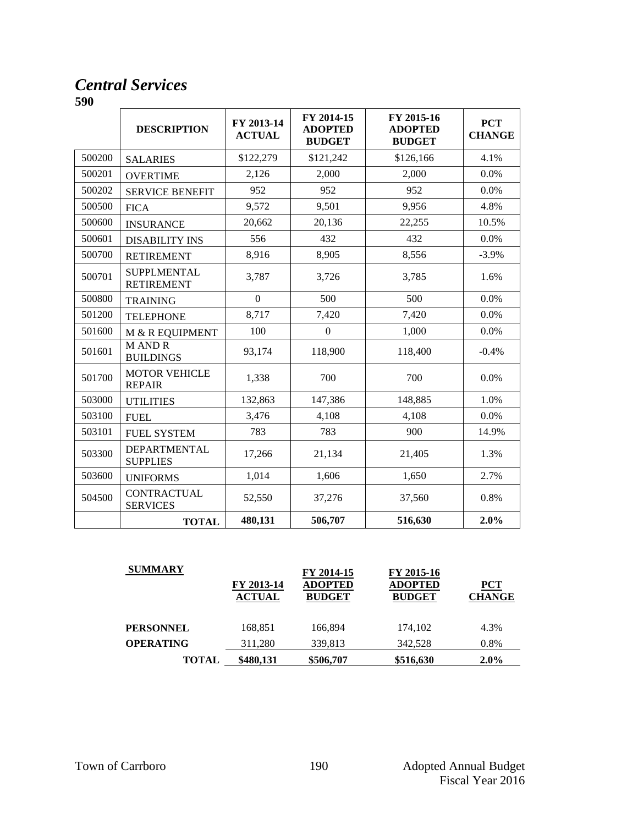### *Central Services*

|        | <b>DESCRIPTION</b>                      | FY 2013-14<br><b>ACTUAL</b> | FY 2014-15<br><b>ADOPTED</b><br><b>BUDGET</b> | FY 2015-16<br><b>ADOPTED</b><br><b>BUDGET</b> | <b>PCT</b><br><b>CHANGE</b> |
|--------|-----------------------------------------|-----------------------------|-----------------------------------------------|-----------------------------------------------|-----------------------------|
| 500200 | <b>SALARIES</b>                         | \$122,279                   | \$121,242                                     | \$126,166                                     | 4.1%                        |
| 500201 | <b>OVERTIME</b>                         | 2,126                       | 2,000                                         | 2,000                                         | 0.0%                        |
| 500202 | <b>SERVICE BENEFIT</b>                  | 952                         | 952                                           | 952                                           | 0.0%                        |
| 500500 | <b>FICA</b>                             | 9,572                       | 9,501                                         | 9,956                                         | 4.8%                        |
| 500600 | <b>INSURANCE</b>                        | 20,662                      | 20,136                                        | 22,255                                        | 10.5%                       |
| 500601 | <b>DISABILITY INS</b>                   | 556                         | 432                                           | 432                                           | 0.0%                        |
| 500700 | <b>RETIREMENT</b>                       | 8,916                       | 8,905                                         | 8,556                                         | $-3.9%$                     |
| 500701 | <b>SUPPLMENTAL</b><br><b>RETIREMENT</b> | 3,787                       | 3,726                                         | 3,785                                         | 1.6%                        |
| 500800 | <b>TRAINING</b>                         | $\boldsymbol{0}$            | 500                                           | 500                                           | 0.0%                        |
| 501200 | <b>TELEPHONE</b>                        | 8,717                       | 7,420                                         | 7,420                                         | 0.0%                        |
| 501600 | M & R EQUIPMENT                         | 100                         | $\boldsymbol{0}$                              | 1,000                                         | 0.0%                        |
| 501601 | <b>MANDR</b><br><b>BUILDINGS</b>        | 93,174                      | 118,900                                       | 118,400                                       | $-0.4%$                     |
| 501700 | <b>MOTOR VEHICLE</b><br><b>REPAIR</b>   | 1,338                       | 700                                           | 700                                           | 0.0%                        |
| 503000 | <b>UTILITIES</b>                        | 132,863                     | 147,386                                       | 148,885                                       | 1.0%                        |
| 503100 | <b>FUEL</b>                             | 3,476                       | 4,108                                         | 4,108                                         | 0.0%                        |
| 503101 | <b>FUEL SYSTEM</b>                      | 783                         | 783                                           | 900                                           | 14.9%                       |
| 503300 | DEPARTMENTAL<br><b>SUPPLIES</b>         | 17,266                      | 21,134                                        | 21,405                                        | 1.3%                        |
| 503600 | <b>UNIFORMS</b>                         | 1,014                       | 1,606                                         | 1,650                                         | 2.7%                        |
| 504500 | <b>CONTRACTUAL</b><br><b>SERVICES</b>   | 52,550                      | 37,276                                        | 37,560                                        | 0.8%                        |
|        | <b>TOTAL</b>                            | 480,131                     | 506,707                                       | 516,630                                       | 2.0%                        |

| <b>SUMMARY</b>   | FY 2013-14<br><b>ACTUAL</b> | FY 2014-15<br><b>ADOPTED</b><br><b>BUDGET</b> | FY 2015-16<br><b>ADOPTED</b><br><b>BUDGET</b> | <b>PCT</b><br><b>CHANGE</b> |
|------------------|-----------------------------|-----------------------------------------------|-----------------------------------------------|-----------------------------|
| <b>PERSONNEL</b> | 168,851                     | 166,894                                       | 174.102                                       | 4.3%                        |
| <b>OPERATING</b> | 311,280                     | 339,813                                       | 342.528                                       | 0.8%                        |
| TOTAL            | \$480,131                   | \$506,707                                     | \$516,630                                     | $2.0\%$                     |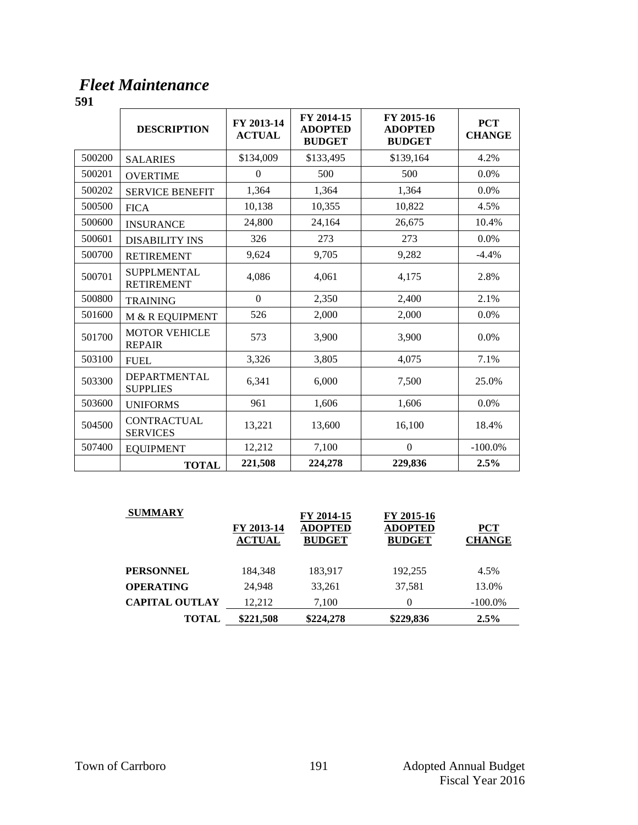### *Fleet Maintenance*

|        | <b>DESCRIPTION</b>                      | FY 2013-14<br><b>ACTUAL</b> | FY 2014-15<br><b>ADOPTED</b><br><b>BUDGET</b> | FY 2015-16<br><b>ADOPTED</b><br><b>BUDGET</b> | <b>PCT</b><br><b>CHANGE</b> |
|--------|-----------------------------------------|-----------------------------|-----------------------------------------------|-----------------------------------------------|-----------------------------|
| 500200 | <b>SALARIES</b>                         | \$134,009                   | \$133,495                                     | \$139,164                                     | 4.2%                        |
| 500201 | <b>OVERTIME</b>                         | $\Omega$                    | 500                                           | 500                                           | 0.0%                        |
| 500202 | <b>SERVICE BENEFIT</b>                  | 1,364                       | 1,364                                         | 1,364                                         | 0.0%                        |
| 500500 | <b>FICA</b>                             | 10,138                      | 10,355                                        | 10,822                                        | 4.5%                        |
| 500600 | <b>INSURANCE</b>                        | 24,800                      | 24,164                                        | 26,675                                        | 10.4%                       |
| 500601 | <b>DISABILITY INS</b>                   | 326                         | 273                                           | 273                                           | $0.0\%$                     |
| 500700 | <b>RETIREMENT</b>                       | 9,624                       | 9,705                                         | 9,282                                         | $-4.4%$                     |
| 500701 | <b>SUPPLMENTAL</b><br><b>RETIREMENT</b> | 4,086                       | 4,061                                         | 4,175                                         | 2.8%                        |
| 500800 | <b>TRAINING</b>                         | $\Omega$                    | 2,350                                         | 2,400                                         | 2.1%                        |
| 501600 | M & R EQUIPMENT                         | 526                         | 2,000                                         | 2,000                                         | 0.0%                        |
| 501700 | <b>MOTOR VEHICLE</b><br><b>REPAIR</b>   | 573                         | 3,900                                         | 3,900                                         | $0.0\%$                     |
| 503100 | <b>FUEL</b>                             | 3,326                       | 3,805                                         | 4,075                                         | 7.1%                        |
| 503300 | <b>DEPARTMENTAL</b><br><b>SUPPLIES</b>  | 6,341                       | 6,000                                         | 7,500                                         | 25.0%                       |
| 503600 | <b>UNIFORMS</b>                         | 961                         | 1,606                                         | 1,606                                         | 0.0%                        |
| 504500 | CONTRACTUAL<br><b>SERVICES</b>          | 13,221                      | 13,600                                        | 16,100                                        | 18.4%                       |
| 507400 | <b>EQUIPMENT</b>                        | 12,212                      | 7,100                                         | $\overline{0}$                                | $-100.0\%$                  |
|        | <b>TOTAL</b>                            | 221,508                     | 224,278                                       | 229,836                                       | 2.5%                        |

| <b>SUMMARY</b>        | FY 2013-14<br><b>ACTUAL</b> | FY 2014-15<br><b>ADOPTED</b><br><b>BUDGET</b> | FY 2015-16<br><b>ADOPTED</b><br><b>BUDGET</b> | ${PCT}$<br><b>CHANGE</b> |
|-----------------------|-----------------------------|-----------------------------------------------|-----------------------------------------------|--------------------------|
| <b>PERSONNEL</b>      | 184,348                     | 183,917                                       | 192,255                                       | 4.5%                     |
| <b>OPERATING</b>      | 24.948                      | 33,261                                        | 37,581                                        | 13.0%                    |
| <b>CAPITAL OUTLAY</b> | 12.212                      | 7,100                                         | $\theta$                                      | $-100.0\%$               |
| <b>TOTAL</b>          | \$221,508                   | \$224,278                                     | \$229,836                                     | 2.5%                     |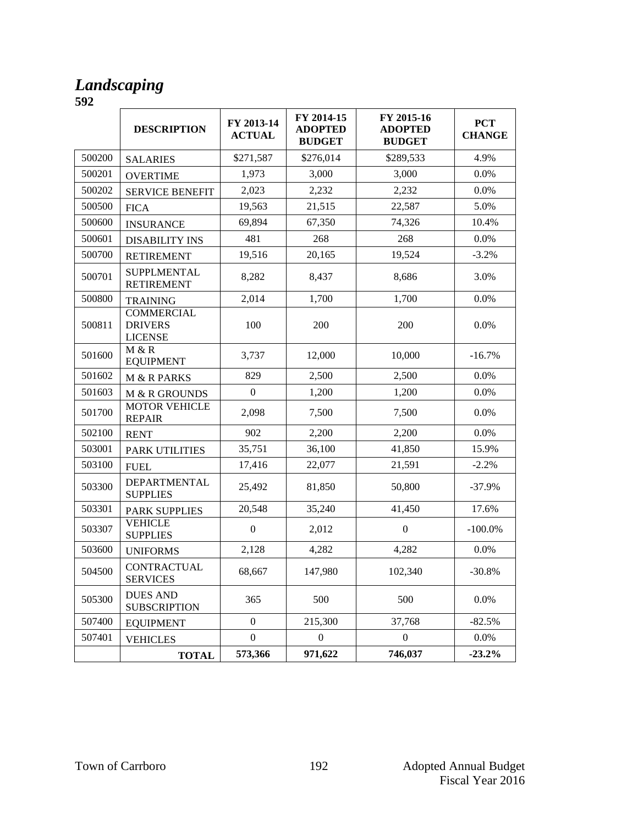#### *Landscaping*

|        | <b>DESCRIPTION</b>                                    | FY 2013-14<br><b>ACTUAL</b> | FY 2014-15<br><b>ADOPTED</b><br><b>BUDGET</b> | FY 2015-16<br><b>ADOPTED</b><br><b>BUDGET</b> | <b>PCT</b><br><b>CHANGE</b> |
|--------|-------------------------------------------------------|-----------------------------|-----------------------------------------------|-----------------------------------------------|-----------------------------|
| 500200 | <b>SALARIES</b>                                       | \$271,587                   | \$276,014                                     | \$289,533                                     | 4.9%                        |
| 500201 | <b>OVERTIME</b>                                       | 1,973                       | 3,000                                         | 3,000                                         | 0.0%                        |
| 500202 | <b>SERVICE BENEFIT</b>                                | 2,023                       | 2,232                                         | 2,232                                         | 0.0%                        |
| 500500 | <b>FICA</b>                                           | 19,563                      | 21,515                                        | 22,587                                        | 5.0%                        |
| 500600 | <b>INSURANCE</b>                                      | 69,894                      | 67,350                                        | 74,326                                        | 10.4%                       |
| 500601 | <b>DISABILITY INS</b>                                 | 481                         | 268                                           | 268                                           | 0.0%                        |
| 500700 | <b>RETIREMENT</b>                                     | 19,516                      | 20,165                                        | 19,524                                        | $-3.2%$                     |
| 500701 | <b>SUPPLMENTAL</b><br><b>RETIREMENT</b>               | 8,282                       | 8,437                                         | 8,686                                         | 3.0%                        |
| 500800 | <b>TRAINING</b>                                       | 2,014                       | 1,700                                         | 1,700                                         | 0.0%                        |
| 500811 | <b>COMMERCIAL</b><br><b>DRIVERS</b><br><b>LICENSE</b> | 100                         | 200                                           | 200                                           | 0.0%                        |
| 501600 | M & R<br><b>EQUIPMENT</b>                             | 3,737                       | 12,000                                        | 10,000                                        | $-16.7%$                    |
| 501602 | M & R PARKS                                           | 829                         | 2,500                                         | 2,500                                         | 0.0%                        |
| 501603 | M & R GROUNDS                                         | $\boldsymbol{0}$            | 1,200                                         | 1,200                                         | 0.0%                        |
| 501700 | <b>MOTOR VEHICLE</b><br><b>REPAIR</b>                 | 2,098                       | 7,500                                         | 7,500                                         | 0.0%                        |
| 502100 | <b>RENT</b>                                           | 902                         | 2,200                                         | 2,200                                         | 0.0%                        |
| 503001 | PARK UTILITIES                                        | 35,751                      | 36,100                                        | 41,850                                        | 15.9%                       |
| 503100 | <b>FUEL</b>                                           | 17,416                      | 22,077                                        | 21,591                                        | $-2.2%$                     |
| 503300 | DEPARTMENTAL<br><b>SUPPLIES</b>                       | 25,492                      | 81,850                                        | 50,800                                        | $-37.9%$                    |
| 503301 | <b>PARK SUPPLIES</b>                                  | 20,548                      | 35,240                                        | 41,450                                        | 17.6%                       |
| 503307 | <b>VEHICLE</b><br><b>SUPPLIES</b>                     | $\boldsymbol{0}$            | 2,012                                         | $\boldsymbol{0}$                              | $-100.0\%$                  |
| 503600 | <b>UNIFORMS</b>                                       | 2,128                       | 4,282                                         | 4,282                                         | 0.0%                        |
| 504500 | CONTRACTUAL<br><b>SERVICES</b>                        | 68,667                      | 147,980                                       | 102,340                                       | $-30.8%$                    |
| 505300 | <b>DUES AND</b><br><b>SUBSCRIPTION</b>                | 365                         | 500                                           | 500                                           | 0.0%                        |
| 507400 | <b>EQUIPMENT</b>                                      | $\boldsymbol{0}$            | 215,300                                       | 37,768                                        | $-82.5%$                    |
| 507401 | <b>VEHICLES</b>                                       | $\boldsymbol{0}$            | $\boldsymbol{0}$                              | $\boldsymbol{0}$                              | 0.0%                        |
|        | <b>TOTAL</b>                                          | 573,366                     | 971,622                                       | 746,037                                       | $-23.2%$                    |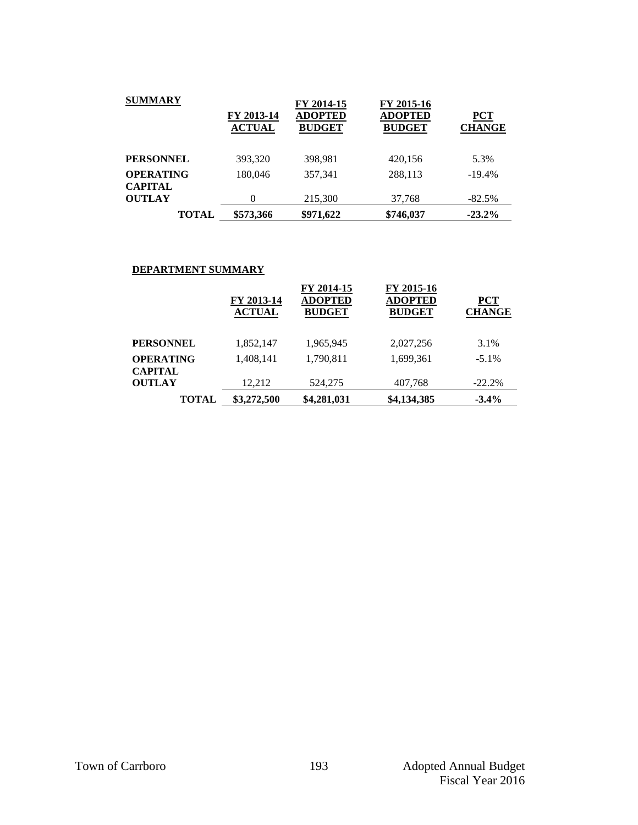| <b>SUMMARY</b>   |                             | FY 2014-15                      | FY 2015-16                      |                             |
|------------------|-----------------------------|---------------------------------|---------------------------------|-----------------------------|
|                  | FY 2013-14<br><b>ACTUAL</b> | <b>ADOPTED</b><br><b>BUDGET</b> | <b>ADOPTED</b><br><b>BUDGET</b> | <b>PCT</b><br><b>CHANGE</b> |
|                  |                             |                                 |                                 |                             |
| <b>PERSONNEL</b> | 393,320                     | 398,981                         | 420,156                         | 5.3%                        |
| <b>OPERATING</b> | 180,046                     | 357,341                         | 288,113                         | $-19.4%$                    |
| <b>CAPITAL</b>   |                             |                                 |                                 |                             |
| <b>OUTLAY</b>    | $\theta$                    | 215,300                         | 37,768                          | $-82.5%$                    |
| <b>TOTAL</b>     | \$573,366                   | \$971,622                       | \$746,037                       | $-23.2\%$                   |

#### **DEPARTMENT SUMMARY**

|                             | FY 2013-14<br><b>ACTUAL</b> | FY 2014-15<br><b>ADOPTED</b><br><b>BUDGET</b> | FY 2015-16<br><b>ADOPTED</b><br><b>BUDGET</b> | <b>PCT</b><br><b>CHANGE</b> |
|-----------------------------|-----------------------------|-----------------------------------------------|-----------------------------------------------|-----------------------------|
| PERSONNEL                   | 1,852,147                   | 1,965,945                                     | 2,027,256                                     | 3.1%                        |
| <b>OPERATING</b><br>CAPITAL | 1,408,141                   | 1,790,811                                     | 1,699,361                                     | $-5.1\%$                    |
| <b>OUTLAY</b>               | 12,212                      | 524,275                                       | 407,768                                       | $-22.2%$                    |
| <b>TOTAL</b>                | \$3,272,500                 | \$4,281,031                                   | \$4,134,385                                   | $-3.4\%$                    |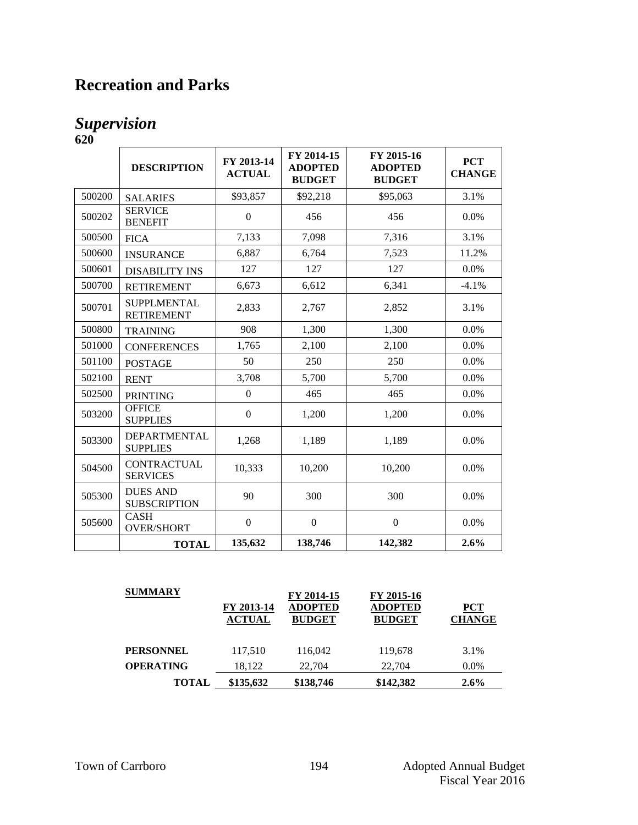# **Recreation and Parks**

#### *Supervision* **620**

|        | <b>DESCRIPTION</b>                      | FY 2013-14<br><b>ACTUAL</b> | FY 2014-15<br><b>ADOPTED</b><br><b>BUDGET</b> | FY 2015-16<br><b>ADOPTED</b><br><b>BUDGET</b> | <b>PCT</b><br><b>CHANGE</b> |
|--------|-----------------------------------------|-----------------------------|-----------------------------------------------|-----------------------------------------------|-----------------------------|
| 500200 | <b>SALARIES</b>                         | \$93,857                    | \$92,218                                      | \$95,063                                      | 3.1%                        |
| 500202 | <b>SERVICE</b><br><b>BENEFIT</b>        | $\mathbf{0}$                | 456                                           | 456                                           | 0.0%                        |
| 500500 | <b>FICA</b>                             | 7,133                       | 7,098                                         | 7,316                                         | 3.1%                        |
| 500600 | <b>INSURANCE</b>                        | 6,887                       | 6,764                                         | 7,523                                         | 11.2%                       |
| 500601 | <b>DISABILITY INS</b>                   | 127                         | 127                                           | 127                                           | 0.0%                        |
| 500700 | <b>RETIREMENT</b>                       | 6,673                       | 6,612                                         | 6,341                                         | $-4.1%$                     |
| 500701 | <b>SUPPLMENTAL</b><br><b>RETIREMENT</b> | 2,833                       | 2,767                                         | 2,852                                         | 3.1%                        |
| 500800 | <b>TRAINING</b>                         | 908                         | 1,300                                         | 1,300                                         | 0.0%                        |
| 501000 | <b>CONFERENCES</b>                      | 1,765                       | 2,100                                         | 2,100                                         | 0.0%                        |
| 501100 | <b>POSTAGE</b>                          | 50                          | 250                                           | 250                                           | 0.0%                        |
| 502100 | <b>RENT</b>                             | 3,708                       | 5,700                                         | 5,700                                         | 0.0%                        |
| 502500 | <b>PRINTING</b>                         | $\mathbf{0}$                | 465                                           | 465                                           | 0.0%                        |
| 503200 | <b>OFFICE</b><br><b>SUPPLIES</b>        | $\boldsymbol{0}$            | 1,200                                         | 1,200                                         | 0.0%                        |
| 503300 | DEPARTMENTAL<br><b>SUPPLIES</b>         | 1,268                       | 1,189                                         | 1,189                                         | 0.0%                        |
| 504500 | <b>CONTRACTUAL</b><br><b>SERVICES</b>   | 10,333                      | 10,200                                        | 10,200                                        | 0.0%                        |
| 505300 | <b>DUES AND</b><br><b>SUBSCRIPTION</b>  | 90                          | 300                                           | 300                                           | 0.0%                        |
| 505600 | <b>CASH</b><br><b>OVER/SHORT</b>        | $\boldsymbol{0}$            | $\boldsymbol{0}$                              | $\boldsymbol{0}$                              | 0.0%                        |
|        | <b>TOTAL</b>                            | 135,632                     | 138,746                                       | 142,382                                       | 2.6%                        |

| <b>SUMMARY</b>   | FY 2013-14<br><b>ACTUAL</b> | FY 2014-15<br><b>ADOPTED</b><br><b>BUDGET</b> | FY 2015-16<br><b>ADOPTED</b><br><b>BUDGET</b> | <b>PCT</b><br><b>CHANGE</b> |
|------------------|-----------------------------|-----------------------------------------------|-----------------------------------------------|-----------------------------|
| <b>PERSONNEL</b> | 117,510                     | 116,042                                       | 119,678                                       | 3.1%                        |
| <b>OPERATING</b> | 18.122                      | 22,704                                        | 22,704                                        | $0.0\%$                     |
| <b>TOTAL</b>     | \$135,632                   | \$138,746                                     | \$142,382                                     | 2.6%                        |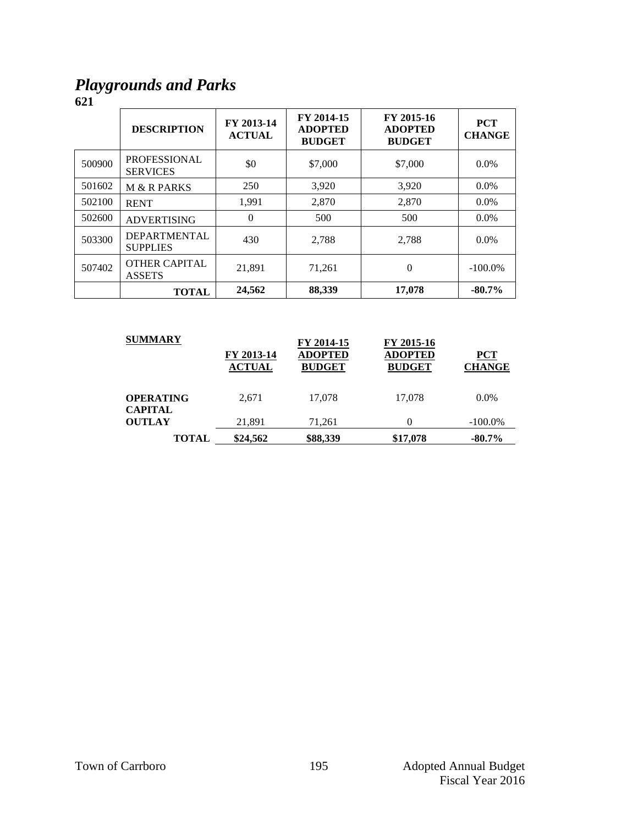### *Playgrounds and Parks*

|        | <b>DESCRIPTION</b>                     | FY 2013-14<br><b>ACTUAL</b> | FY 2014-15<br><b>ADOPTED</b><br><b>BUDGET</b> | FY 2015-16<br><b>ADOPTED</b><br><b>BUDGET</b> | <b>PCT</b><br><b>CHANGE</b> |
|--------|----------------------------------------|-----------------------------|-----------------------------------------------|-----------------------------------------------|-----------------------------|
| 500900 | <b>PROFESSIONAL</b><br><b>SERVICES</b> | \$0                         | \$7,000                                       | \$7,000                                       | $0.0\%$                     |
| 501602 | <b>M &amp; R PARKS</b>                 | 250                         | 3,920                                         | 3,920                                         | $0.0\%$                     |
| 502100 | <b>RENT</b>                            | 1,991                       | 2,870                                         | 2.870                                         | $0.0\%$                     |
| 502600 | <b>ADVERTISING</b>                     | $\Omega$                    | 500                                           | 500                                           | $0.0\%$                     |
| 503300 | <b>DEPARTMENTAL</b><br><b>SUPPLIES</b> | 430                         | 2,788                                         | 2.788                                         | $0.0\%$                     |
| 507402 | <b>OTHER CAPITAL</b><br><b>ASSETS</b>  | 21.891                      | 71,261                                        | $\theta$                                      | $-100.0\%$                  |
|        | <b>TOTAL</b>                           | 24,562                      | 88,339                                        | 17.078                                        | $-80.7%$                    |

| <b>SUMMARY</b>                     | FY 2013-14<br><b>ACTUAL</b> | FY 2014-15<br><b>ADOPTED</b><br><b>BUDGET</b> | FY 2015-16<br><b>ADOPTED</b><br><b>BUDGET</b> | <b>PCT</b><br><b>CHANGE</b> |
|------------------------------------|-----------------------------|-----------------------------------------------|-----------------------------------------------|-----------------------------|
| <b>OPERATING</b><br><b>CAPITAL</b> | 2.671                       | 17.078                                        | 17,078                                        | $0.0\%$                     |
| <b>OUTLAY</b>                      | 21,891                      | 71.261                                        |                                               | $-100.0\%$                  |
| <b>TOTAL</b>                       | \$24,562                    | \$88,339                                      | \$17,078                                      | $-80.7\%$                   |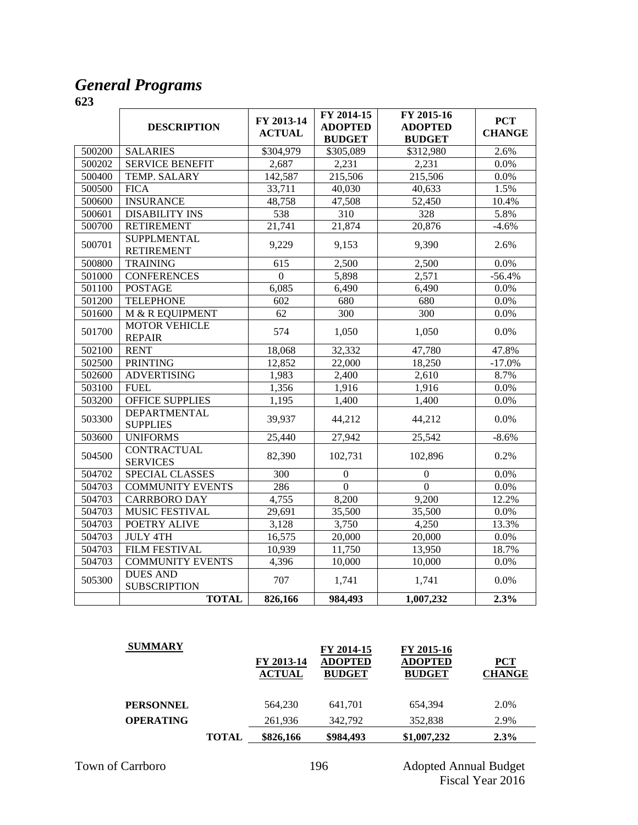#### *General Programs*

|        | <b>DESCRIPTION</b>                      | FY 2013-14<br><b>ACTUAL</b> | FY 2014-15<br><b>ADOPTED</b><br><b>BUDGET</b> | FY 2015-16<br><b>ADOPTED</b><br><b>BUDGET</b> | <b>PCT</b><br><b>CHANGE</b> |
|--------|-----------------------------------------|-----------------------------|-----------------------------------------------|-----------------------------------------------|-----------------------------|
| 500200 | <b>SALARIES</b>                         | \$304,979                   | \$305,089                                     | \$312,980                                     | 2.6%                        |
| 500202 | <b>SERVICE BENEFIT</b>                  | 2,687                       | 2,231                                         | 2,231                                         | 0.0%                        |
| 500400 | TEMP. SALARY                            | 142,587                     | 215,506                                       | 215,506                                       | 0.0%                        |
| 500500 | <b>FICA</b>                             | 33,711                      | 40,030                                        | 40,633                                        | 1.5%                        |
| 500600 | <b>INSURANCE</b>                        | 48,758                      | 47,508                                        | 52,450                                        | 10.4%                       |
| 500601 | <b>DISABILITY INS</b>                   | 538                         | 310                                           | 328                                           | 5.8%                        |
| 500700 | <b>RETIREMENT</b>                       | 21,741                      | 21,874                                        | 20,876                                        | $-4.6%$                     |
| 500701 | <b>SUPPLMENTAL</b><br><b>RETIREMENT</b> | 9,229                       | 9,153                                         | 9,390                                         | 2.6%                        |
| 500800 | <b>TRAINING</b>                         | 615                         | 2,500                                         | 2,500                                         | 0.0%                        |
| 501000 | <b>CONFERENCES</b>                      | $\theta$                    | 5,898                                         | 2,571                                         | $-56.4%$                    |
| 501100 | <b>POSTAGE</b>                          | 6,085                       | 6,490                                         | 6,490                                         | 0.0%                        |
| 501200 | <b>TELEPHONE</b>                        | 602                         | 680                                           | 680                                           | 0.0%                        |
| 501600 | M & R EQUIPMENT                         | 62                          | $\overline{300}$                              | $\overline{300}$                              | 0.0%                        |
| 501700 | <b>MOTOR VEHICLE</b><br><b>REPAIR</b>   | 574                         | 1,050                                         | 1,050                                         | 0.0%                        |
| 502100 | <b>RENT</b>                             | 18,068                      | 32,332                                        | 47,780                                        | 47.8%                       |
| 502500 | <b>PRINTING</b>                         | 12,852                      | 22,000                                        | 18,250                                        | $-17.0%$                    |
| 502600 | <b>ADVERTISING</b>                      | 1,983                       | 2,400                                         | 2,610                                         | 8.7%                        |
| 503100 | <b>FUEL</b>                             | 1,356                       | 1,916                                         | 1,916                                         | 0.0%                        |
| 503200 | <b>OFFICE SUPPLIES</b>                  | 1,195                       | 1,400                                         | 1,400                                         | 0.0%                        |
| 503300 | <b>DEPARTMENTAL</b><br><b>SUPPLIES</b>  | 39,937                      | 44,212                                        | 44,212                                        | 0.0%                        |
| 503600 | <b>UNIFORMS</b>                         | 25,440                      | 27,942                                        | 25,542                                        | $-8.6%$                     |
| 504500 | <b>CONTRACTUAL</b><br><b>SERVICES</b>   | 82,390                      | 102,731                                       | 102,896                                       | 0.2%                        |
| 504702 | SPECIAL CLASSES                         | 300                         | $\boldsymbol{0}$                              | $\boldsymbol{0}$                              | 0.0%                        |
| 504703 | <b>COMMUNITY EVENTS</b>                 | 286                         | $\mathbf{0}$                                  | $\mathbf{0}$                                  | 0.0%                        |
| 504703 | <b>CARRBORO DAY</b>                     | 4,755                       | 8,200                                         | 9,200                                         | 12.2%                       |
| 504703 | <b>MUSIC FESTIVAL</b>                   | 29,691                      | 35,500                                        | 35,500                                        | 0.0%                        |
| 504703 | POETRY ALIVE                            | 3,128                       | 3,750                                         | 4,250                                         | 13.3%                       |
| 504703 | <b>JULY 4TH</b>                         | 16,575                      | 20,000                                        | 20,000                                        | 0.0%                        |
| 504703 | FILM FESTIVAL                           | 10,939                      | 11,750                                        | 13,950                                        | 18.7%                       |
| 504703 | <b>COMMUNITY EVENTS</b>                 | 4,396                       | 10,000                                        | 10,000                                        | 0.0%                        |
| 505300 | <b>DUES AND</b><br><b>SUBSCRIPTION</b>  | 707                         | 1,741                                         | 1,741                                         | $0.0\%$                     |
|        | <b>TOTAL</b>                            | 826,166                     | 984,493                                       | 1,007,232                                     | 2.3%                        |

| <b>SUMMARY</b>   |              | FY 2013-14<br><b>ACTUAL</b> | FY 2014-15<br><b>ADOPTED</b><br><b>BUDGET</b> | FY 2015-16<br><b>ADOPTED</b><br><b>BUDGET</b> | $PCT$<br><b>CHANGE</b> |
|------------------|--------------|-----------------------------|-----------------------------------------------|-----------------------------------------------|------------------------|
| <b>PERSONNEL</b> |              | 564,230                     | 641,701                                       | 654.394                                       | 2.0%                   |
| <b>OPERATING</b> |              | 261,936                     | 342.792                                       | 352,838                                       | 2.9%                   |
|                  | <b>TOTAL</b> | \$826,166                   | \$984,493                                     | \$1,007,232                                   | $2.3\%$                |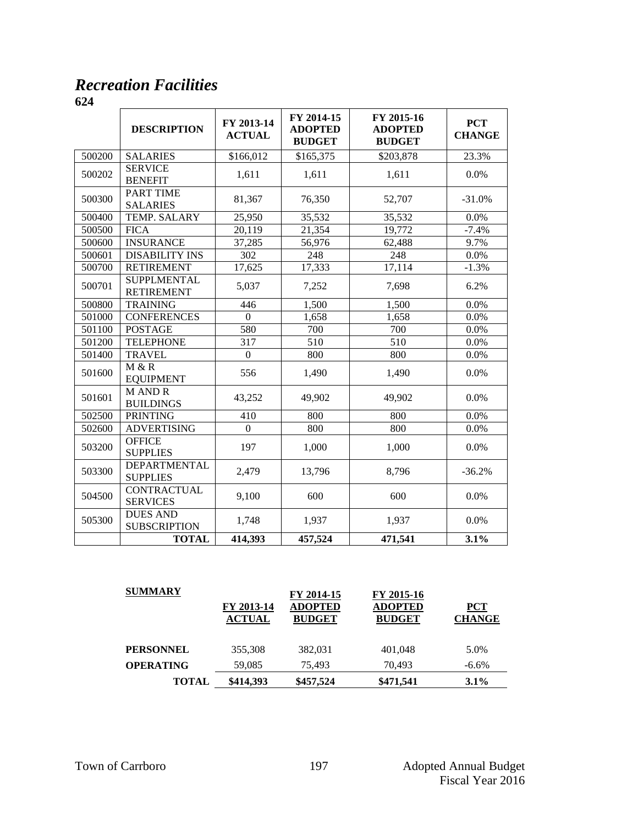### *Recreation Facilities*

|        | <b>DESCRIPTION</b>                      | FY 2013-14<br><b>ACTUAL</b> | FY 2014-15<br><b>ADOPTED</b><br><b>BUDGET</b> | FY 2015-16<br><b>ADOPTED</b><br><b>BUDGET</b> | <b>PCT</b><br><b>CHANGE</b> |
|--------|-----------------------------------------|-----------------------------|-----------------------------------------------|-----------------------------------------------|-----------------------------|
| 500200 | <b>SALARIES</b>                         | \$166,012                   | \$165,375                                     | \$203,878                                     | 23.3%                       |
| 500202 | <b>SERVICE</b><br><b>BENEFIT</b>        | 1,611                       | 1,611                                         | 1,611                                         | 0.0%                        |
| 500300 | PART TIME<br><b>SALARIES</b>            | 81,367                      | 76,350                                        | 52,707                                        | $-31.0%$                    |
| 500400 | TEMP. SALARY                            | 25,950                      | 35,532                                        | 35,532                                        | 0.0%                        |
| 500500 | <b>FICA</b>                             | 20,119                      | 21,354                                        | 19,772                                        | $-7.4%$                     |
| 500600 | <b>INSURANCE</b>                        | 37,285                      | 56,976                                        | 62,488                                        | 9.7%                        |
| 500601 | <b>DISABILITY INS</b>                   | 302                         | 248                                           | 248                                           | 0.0%                        |
| 500700 | <b>RETIREMENT</b>                       | 17,625                      | 17,333                                        | 17,114                                        | $-1.3%$                     |
| 500701 | <b>SUPPLMENTAL</b><br><b>RETIREMENT</b> | 5,037                       | 7,252                                         | 7,698                                         | 6.2%                        |
| 500800 | <b>TRAINING</b>                         | 446                         | 1,500                                         | 1,500                                         | 0.0%                        |
| 501000 | <b>CONFERENCES</b>                      | $\Omega$                    | 1,658                                         | 1,658                                         | 0.0%                        |
| 501100 | <b>POSTAGE</b>                          | 580                         | 700                                           | 700                                           | 0.0%                        |
| 501200 | <b>TELEPHONE</b>                        | 317                         | 510                                           | 510                                           | 0.0%                        |
| 501400 | <b>TRAVEL</b>                           | $\boldsymbol{0}$            | 800                                           | 800                                           | 0.0%                        |
| 501600 | M & R<br><b>EQUIPMENT</b>               | 556                         | 1,490                                         | 1,490                                         | 0.0%                        |
| 501601 | <b>MANDR</b><br><b>BUILDINGS</b>        | 43,252                      | 49,902                                        | 49,902                                        | 0.0%                        |
| 502500 | <b>PRINTING</b>                         | 410                         | 800                                           | 800                                           | 0.0%                        |
| 502600 | <b>ADVERTISING</b>                      | $\Omega$                    | 800                                           | 800                                           | 0.0%                        |
| 503200 | <b>OFFICE</b><br><b>SUPPLIES</b>        | 197                         | 1,000                                         | 1,000                                         | 0.0%                        |
| 503300 | DEPARTMENTAL<br><b>SUPPLIES</b>         | 2,479                       | 13,796                                        | 8,796                                         | $-36.2%$                    |
| 504500 | <b>CONTRACTUAL</b><br><b>SERVICES</b>   | 9,100                       | 600                                           | 600                                           | 0.0%                        |
| 505300 | <b>DUES AND</b><br><b>SUBSCRIPTION</b>  | 1,748                       | 1,937                                         | 1,937                                         | $0.0\%$                     |
|        | <b>TOTAL</b>                            | 414,393                     | 457,524                                       | 471,541                                       | 3.1%                        |

| <b>SUMMARY</b>   | FY 2013-14    | FY 2014-15<br><b>ADOPTED</b> | FY 2015-16<br><b>ADOPTED</b> | <b>PCT</b>    |
|------------------|---------------|------------------------------|------------------------------|---------------|
|                  | <b>ACTUAL</b> | <b>BUDGET</b>                | <b>BUDGET</b>                | <b>CHANGE</b> |
| <b>PERSONNEL</b> | 355,308       | 382,031                      | 401,048                      | 5.0%          |
| <b>OPERATING</b> | 59,085        | 75.493                       | 70.493                       | $-6.6\%$      |
| <b>TOTAL</b>     | \$414,393     | \$457,524                    | \$471,541                    | $3.1\%$       |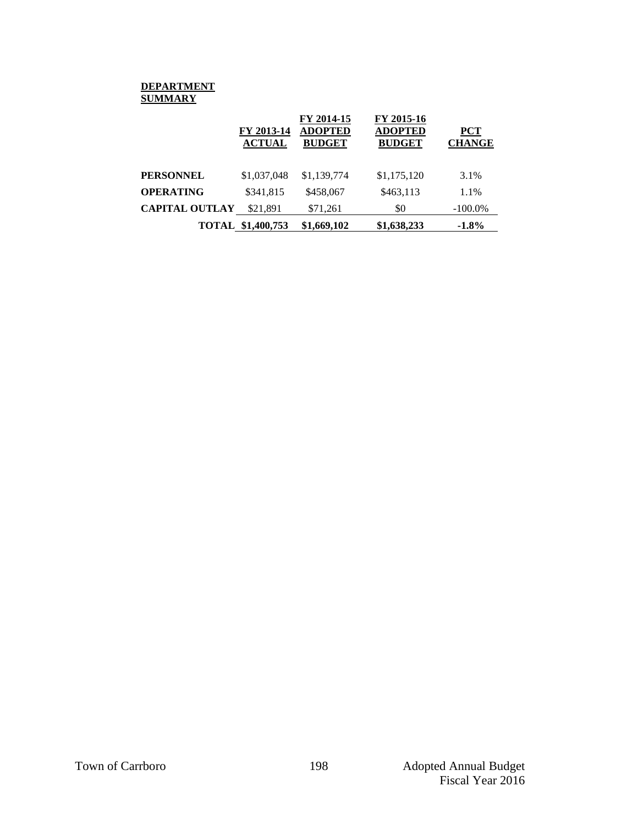#### **DEPARTMENT SUMMARY**

|                       | FY 2013-14<br><b>ACTUAL</b> | FY 2014-15<br><b>ADOPTED</b><br><b>BUDGET</b> | FY 2015-16<br><b>ADOPTED</b><br><b>BUDGET</b> | <b>PCT</b><br><b>CHANGE</b> |
|-----------------------|-----------------------------|-----------------------------------------------|-----------------------------------------------|-----------------------------|
| PERSONNEL             | \$1,037,048                 | \$1,139,774                                   | \$1,175,120                                   | 3.1%                        |
| <b>OPERATING</b>      | \$341,815                   | \$458,067                                     | \$463.113                                     | 1.1%                        |
| <b>CAPITAL OUTLAY</b> | \$21,891                    | \$71,261                                      | \$0                                           | $-100.0\%$                  |
|                       | <b>TOTAL \$1,400,753</b>    | \$1,669,102                                   | \$1,638,233                                   | $-1.8\%$                    |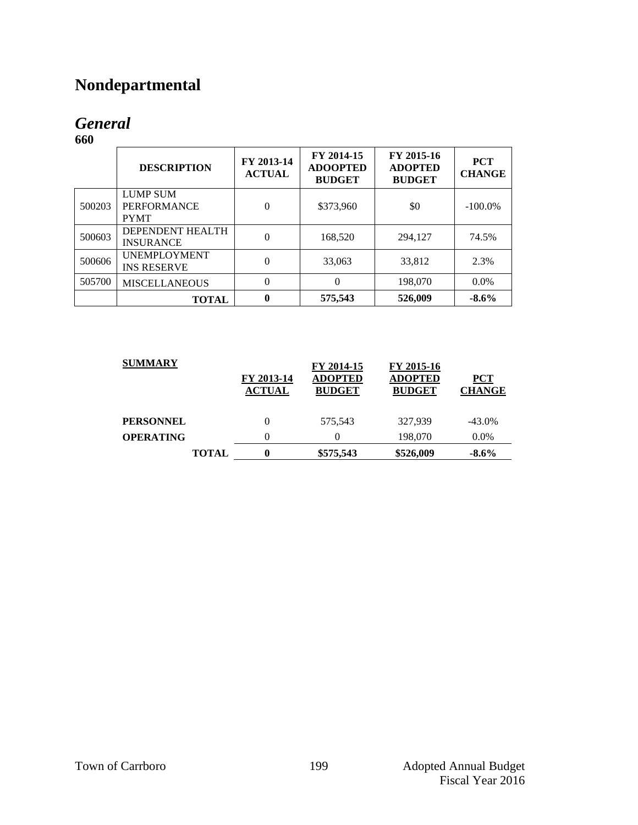# **Nondepartmental**

# *General*

|        | <b>DESCRIPTION</b>                                   | FY 2013-14<br><b>ACTUAL</b> | FY 2014-15<br><b>ADOOPTED</b><br><b>BUDGET</b> | FY 2015-16<br><b>ADOPTED</b><br><b>BUDGET</b> | <b>PCT</b><br><b>CHANGE</b> |
|--------|------------------------------------------------------|-----------------------------|------------------------------------------------|-----------------------------------------------|-----------------------------|
| 500203 | <b>LUMP SUM</b><br><b>PERFORMANCE</b><br><b>PYMT</b> | $\theta$                    | \$373,960                                      | \$0                                           | $-100.0\%$                  |
| 500603 | DEPENDENT HEALTH<br><b>INSURANCE</b>                 | $\Omega$                    | 168,520                                        | 294,127                                       | 74.5%                       |
| 500606 | <b>UNEMPLOYMENT</b><br><b>INS RESERVE</b>            | $\Omega$                    | 33,063                                         | 33,812                                        | 2.3%                        |
| 505700 | <b>MISCELLANEOUS</b>                                 | $\theta$                    | $\theta$                                       | 198,070                                       | $0.0\%$                     |
|        | <b>TOTAL</b>                                         | $\bf{0}$                    | 575,543                                        | 526,009                                       | $-8.6%$                     |

| <b>SUMMARY</b>   | FY 2013-14<br><b>ACTUAL</b> | FY 2014-15<br><b>ADOPTED</b><br><b>BUDGET</b> | FY 2015-16<br><b>ADOPTED</b><br><b>BUDGET</b> | <b>PCT</b><br><b>CHANGE</b> |
|------------------|-----------------------------|-----------------------------------------------|-----------------------------------------------|-----------------------------|
| <b>PERSONNEL</b> | $\theta$                    | 575.543                                       | 327.939                                       | $-43.0\%$                   |
| <b>OPERATING</b> | 0                           |                                               | 198,070                                       | $0.0\%$                     |
| <b>TOTAL</b>     | 0                           | \$575,543                                     | \$526,009                                     | $-8.6\%$                    |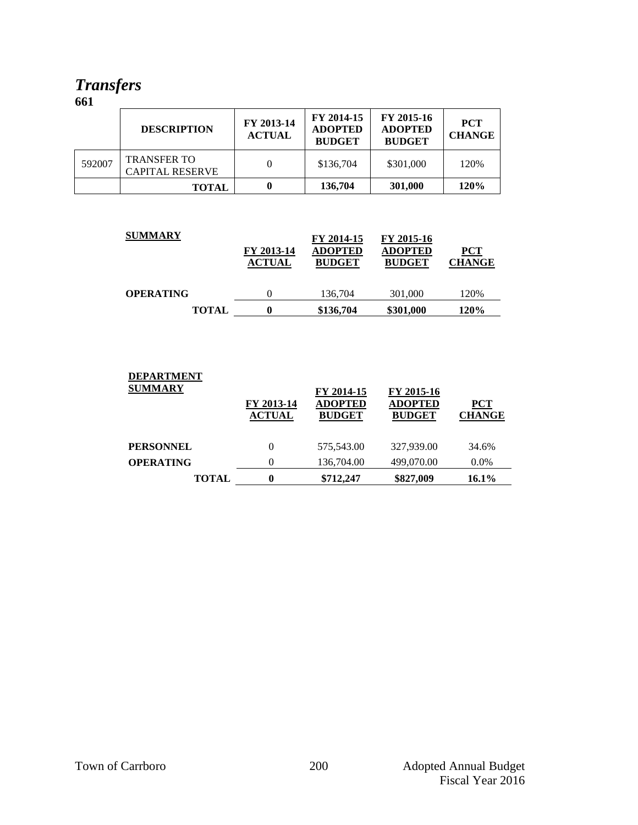### *Transfers*

|        | <b>DESCRIPTION</b>                           | FY 2013-14<br><b>ACTUAL</b> | FY 2014-15<br><b>ADOPTED</b><br><b>BUDGET</b> | FY 2015-16<br><b>ADOPTED</b><br><b>BUDGET</b> | <b>PCT</b><br><b>CHANGE</b> |
|--------|----------------------------------------------|-----------------------------|-----------------------------------------------|-----------------------------------------------|-----------------------------|
| 592007 | <b>TRANSFER TO</b><br><b>CAPITAL RESERVE</b> |                             | \$136,704                                     | \$301,000                                     | 120%                        |
|        | <b>TOTAL</b>                                 |                             | 136,704                                       | 301,000                                       | 120%                        |

| <b>SUMMARY</b>   | FY 2013-14<br><b>ACTUAL</b> | FY 2014-15<br><b>ADOPTED</b><br><b>BUDGET</b> | FY 2015-16<br>ADOPTED<br><b>BUDGET</b> | $PCT$<br><b>CHANGE</b> |
|------------------|-----------------------------|-----------------------------------------------|----------------------------------------|------------------------|
| <b>OPERATING</b> |                             | 136,704                                       | 301,000                                | 120%                   |
| <b>TOTAL</b>     | 0                           | \$136,704                                     | \$301,000                              | 120%                   |

| <b>DEPARTMENT</b> |                             |                                               |                                               |                             |  |
|-------------------|-----------------------------|-----------------------------------------------|-----------------------------------------------|-----------------------------|--|
| <b>SUMMARY</b>    | FY 2013-14<br><b>ACTUAL</b> | FY 2014-15<br><b>ADOPTED</b><br><b>BUDGET</b> | FY 2015-16<br><b>ADOPTED</b><br><b>BUDGET</b> | <b>PCT</b><br><b>CHANGE</b> |  |
| <b>PERSONNEL</b>  | 0                           | 575,543.00                                    | 327,939.00                                    | 34.6%                       |  |
| <b>OPERATING</b>  |                             | 136,704.00                                    | 499,070.00                                    | $0.0\%$                     |  |
| <b>TOTAL</b>      | 0                           | \$712,247                                     | \$827,009                                     | $16.1\%$                    |  |